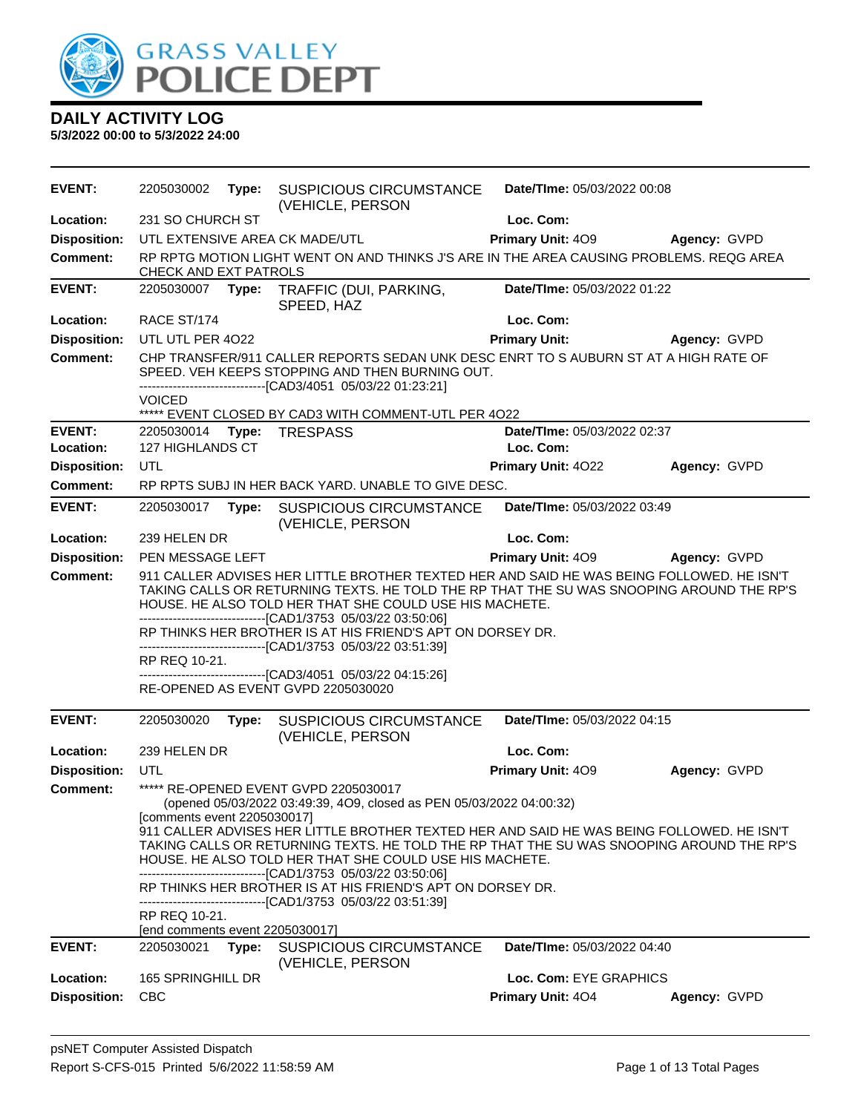

| <b>EVENT:</b>       | 2205030002                                                                                                                                                                                                                                                                                                       |       | Type: SUSPICIOUS CIRCUMSTANCE<br>(VEHICLE, PERSON                                                                                                                                                       | Date/TIme: 05/03/2022 00:08 |              |
|---------------------|------------------------------------------------------------------------------------------------------------------------------------------------------------------------------------------------------------------------------------------------------------------------------------------------------------------|-------|---------------------------------------------------------------------------------------------------------------------------------------------------------------------------------------------------------|-----------------------------|--------------|
| Location:           | 231 SO CHURCH ST                                                                                                                                                                                                                                                                                                 |       |                                                                                                                                                                                                         | Loc. Com:                   |              |
| <b>Disposition:</b> |                                                                                                                                                                                                                                                                                                                  |       | UTL EXTENSIVE AREA CK MADE/UTL                                                                                                                                                                          | <b>Primary Unit: 409</b>    | Agency: GVPD |
| <b>Comment:</b>     | CHECK AND EXT PATROLS                                                                                                                                                                                                                                                                                            |       | RP RPTG MOTION LIGHT WENT ON AND THINKS J'S ARE IN THE AREA CAUSING PROBLEMS. REQG AREA                                                                                                                 |                             |              |
| <b>EVENT:</b>       |                                                                                                                                                                                                                                                                                                                  |       | 2205030007 Type: TRAFFIC (DUI, PARKING,<br>SPEED, HAZ                                                                                                                                                   | Date/TIme: 05/03/2022 01:22 |              |
| Location:           | RACE ST/174                                                                                                                                                                                                                                                                                                      |       |                                                                                                                                                                                                         | Loc. Com:                   |              |
| <b>Disposition:</b> | UTL UTL PER 4022                                                                                                                                                                                                                                                                                                 |       |                                                                                                                                                                                                         | <b>Primary Unit:</b>        | Agency: GVPD |
| <b>Comment:</b>     |                                                                                                                                                                                                                                                                                                                  |       | CHP TRANSFER/911 CALLER REPORTS SEDAN UNK DESC ENRT TO S AUBURN ST AT A HIGH RATE OF<br>SPEED. VEH KEEPS STOPPING AND THEN BURNING OUT.<br>-------------------------------[CAD3/4051 05/03/22 01:23:21] |                             |              |
|                     | <b>VOICED</b>                                                                                                                                                                                                                                                                                                    |       | ***** EVENT CLOSED BY CAD3 WITH COMMENT-UTL PER 4022                                                                                                                                                    |                             |              |
| <b>EVENT:</b>       |                                                                                                                                                                                                                                                                                                                  |       | 2205030014 Type: TRESPASS                                                                                                                                                                               | Date/TIme: 05/03/2022 02:37 |              |
| Location:           | 127 HIGHLANDS CT                                                                                                                                                                                                                                                                                                 |       |                                                                                                                                                                                                         | Loc. Com:                   |              |
| <b>Disposition:</b> | <b>UTL</b>                                                                                                                                                                                                                                                                                                       |       |                                                                                                                                                                                                         | Primary Unit: 4022          | Agency: GVPD |
| <b>Comment:</b>     |                                                                                                                                                                                                                                                                                                                  |       | RP RPTS SUBJ IN HER BACK YARD. UNABLE TO GIVE DESC.                                                                                                                                                     |                             |              |
| <b>EVENT:</b>       | 2205030017                                                                                                                                                                                                                                                                                                       | Type: | <b>SUSPICIOUS CIRCUMSTANCE</b><br>(VEHICLE, PERSON                                                                                                                                                      | Date/TIme: 05/03/2022 03:49 |              |
| Location:           | 239 HELEN DR                                                                                                                                                                                                                                                                                                     |       |                                                                                                                                                                                                         | Loc. Com:                   |              |
| <b>Disposition:</b> | PEN MESSAGE LEFT                                                                                                                                                                                                                                                                                                 |       |                                                                                                                                                                                                         | <b>Primary Unit: 409</b>    | Agency: GVPD |
| Comment:            | 911 CALLER ADVISES HER LITTLE BROTHER TEXTED HER AND SAID HE WAS BEING FOLLOWED. HE ISN'T<br>TAKING CALLS OR RETURNING TEXTS. HE TOLD THE RP THAT THE SU WAS SNOOPING AROUND THE RP'S<br>HOUSE. HE ALSO TOLD HER THAT SHE COULD USE HIS MACHETE.<br>-------------------------------[CAD1/3753 05/03/22 03:50:06] |       |                                                                                                                                                                                                         |                             |              |
|                     |                                                                                                                                                                                                                                                                                                                  |       | RP THINKS HER BROTHER IS AT HIS FRIEND'S APT ON DORSEY DR.<br>-------------------------------[CAD1/3753 05/03/22 03:51:39]                                                                              |                             |              |
|                     | RP REQ 10-21.                                                                                                                                                                                                                                                                                                    |       |                                                                                                                                                                                                         |                             |              |
|                     |                                                                                                                                                                                                                                                                                                                  |       | -------------------------------[CAD3/4051 05/03/22 04:15:26]                                                                                                                                            |                             |              |
|                     |                                                                                                                                                                                                                                                                                                                  |       | RE-OPENED AS EVENT GVPD 2205030020                                                                                                                                                                      |                             |              |
| <b>EVENT:</b>       | 2205030020                                                                                                                                                                                                                                                                                                       | Type: | <b>SUSPICIOUS CIRCUMSTANCE</b><br>(VEHICLE, PERSON                                                                                                                                                      | Date/TIme: 05/03/2022 04:15 |              |
| Location:           | 239 HELEN DR                                                                                                                                                                                                                                                                                                     |       |                                                                                                                                                                                                         | Loc. Com:                   |              |
| <b>Disposition:</b> | UTL                                                                                                                                                                                                                                                                                                              |       |                                                                                                                                                                                                         | Primary Unit: 409           | Agency: GVPD |
| Comment:            | [comments event 2205030017]                                                                                                                                                                                                                                                                                      |       | ***** RE-OPENED EVENT GVPD 2205030017<br>(opened 05/03/2022 03:49:39, 4O9, closed as PEN 05/03/2022 04:00:32)                                                                                           |                             |              |
|                     | 911 CALLER ADVISES HER LITTLE BROTHER TEXTED HER AND SAID HE WAS BEING FOLLOWED. HE ISN'T<br>TAKING CALLS OR RETURNING TEXTS. HE TOLD THE RP THAT THE SU WAS SNOOPING AROUND THE RP'S<br>HOUSE. HE ALSO TOLD HER THAT SHE COULD USE HIS MACHETE.<br>-------------------------------[CAD1/3753 05/03/22 03:50:06] |       |                                                                                                                                                                                                         |                             |              |
|                     |                                                                                                                                                                                                                                                                                                                  |       | RP THINKS HER BROTHER IS AT HIS FRIEND'S APT ON DORSEY DR.<br>-------------------------------[CAD1/3753_05/03/22_03:51:39]                                                                              |                             |              |
|                     | RP REQ 10-21.<br>[end comments event 2205030017]                                                                                                                                                                                                                                                                 |       |                                                                                                                                                                                                         |                             |              |
| <b>EVENT:</b>       | 2205030021                                                                                                                                                                                                                                                                                                       | Type: | <b>SUSPICIOUS CIRCUMSTANCE</b><br>(VEHICLE, PERSON                                                                                                                                                      | Date/TIme: 05/03/2022 04:40 |              |
| Location:           | 165 SPRINGHILL DR                                                                                                                                                                                                                                                                                                |       |                                                                                                                                                                                                         | Loc. Com: EYE GRAPHICS      |              |
| <b>Disposition:</b> | <b>CBC</b>                                                                                                                                                                                                                                                                                                       |       |                                                                                                                                                                                                         | Primary Unit: 404           | Agency: GVPD |
|                     |                                                                                                                                                                                                                                                                                                                  |       |                                                                                                                                                                                                         |                             |              |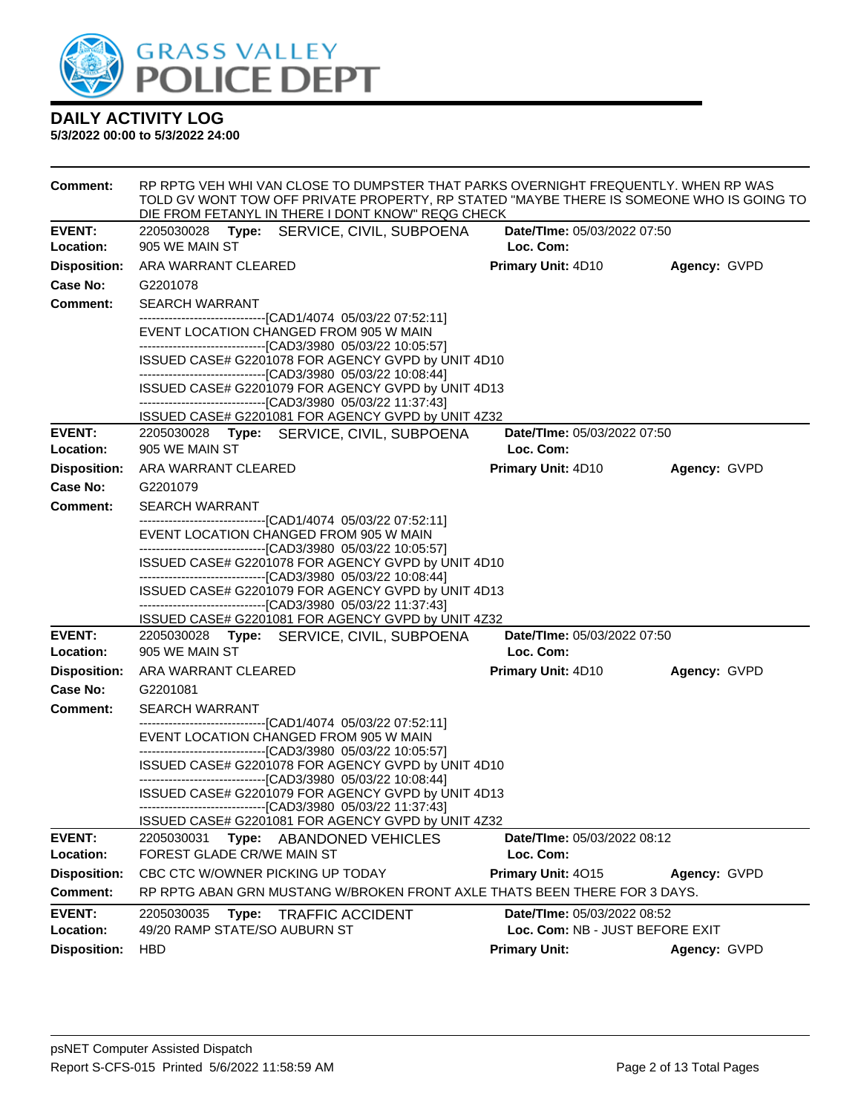

| <b>Comment:</b>     | RP RPTG VEH WHI VAN CLOSE TO DUMPSTER THAT PARKS OVERNIGHT FREQUENTLY. WHEN RP WAS<br>TOLD GV WONT TOW OFF PRIVATE PROPERTY, RP STATED "MAYBE THERE IS SOMEONE WHO IS GOING TO<br>DIE FROM FETANYL IN THERE I DONT KNOW" REQG CHECK |                                 |              |  |  |  |
|---------------------|-------------------------------------------------------------------------------------------------------------------------------------------------------------------------------------------------------------------------------------|---------------------------------|--------------|--|--|--|
| <b>EVENT:</b>       | 2205030028<br>Type: SERVICE, CIVIL, SUBPOENA                                                                                                                                                                                        | Date/TIme: 05/03/2022 07:50     |              |  |  |  |
| Location:           | 905 WE MAIN ST                                                                                                                                                                                                                      | Loc. Com:                       |              |  |  |  |
| <b>Disposition:</b> | ARA WARRANT CLEARED                                                                                                                                                                                                                 | <b>Primary Unit: 4D10</b>       | Agency: GVPD |  |  |  |
| Case No:            | G2201078                                                                                                                                                                                                                            |                                 |              |  |  |  |
| <b>Comment:</b>     | <b>SEARCH WARRANT</b>                                                                                                                                                                                                               |                                 |              |  |  |  |
|                     | --------------------------------[CAD1/4074_05/03/22 07:52:11]<br>EVENT LOCATION CHANGED FROM 905 W MAIN<br>--------------------------------[CAD3/3980 05/03/22 10:05:57]                                                            |                                 |              |  |  |  |
|                     | ISSUED CASE# G2201078 FOR AGENCY GVPD by UNIT 4D10                                                                                                                                                                                  |                                 |              |  |  |  |
|                     | -------------------------------[CAD3/3980 05/03/22 10:08:44]                                                                                                                                                                        |                                 |              |  |  |  |
|                     | ISSUED CASE# G2201079 FOR AGENCY GVPD by UNIT 4D13<br>-------------------------------[CAD3/3980_05/03/22_11:37:43]                                                                                                                  |                                 |              |  |  |  |
|                     | ISSUED CASE# G2201081 FOR AGENCY GVPD by UNIT 4Z32                                                                                                                                                                                  |                                 |              |  |  |  |
| <b>EVENT:</b>       | 2205030028 Type: SERVICE, CIVIL, SUBPOENA                                                                                                                                                                                           | Date/TIme: 05/03/2022 07:50     |              |  |  |  |
| Location:           | 905 WE MAIN ST                                                                                                                                                                                                                      | Loc. Com:                       |              |  |  |  |
| <b>Disposition:</b> | ARA WARRANT CLEARED                                                                                                                                                                                                                 | <b>Primary Unit: 4D10</b>       | Agency: GVPD |  |  |  |
| Case No:            | G2201079                                                                                                                                                                                                                            |                                 |              |  |  |  |
| <b>Comment:</b>     | <b>SEARCH WARRANT</b>                                                                                                                                                                                                               |                                 |              |  |  |  |
|                     | --------------------------------[CAD1/4074_05/03/22 07:52:11]<br>EVENT LOCATION CHANGED FROM 905 W MAIN<br>--------------------------------[CAD3/3980 05/03/22 10:05:57]                                                            |                                 |              |  |  |  |
|                     | ISSUED CASE# G2201078 FOR AGENCY GVPD by UNIT 4D10<br>-------------------------------[CAD3/3980 05/03/22 10:08:44]                                                                                                                  |                                 |              |  |  |  |
|                     | ISSUED CASE# G2201079 FOR AGENCY GVPD by UNIT 4D13                                                                                                                                                                                  |                                 |              |  |  |  |
|                     | -------------------------------[CAD3/3980_05/03/22_11:37:43]<br>ISSUED CASE# G2201081 FOR AGENCY GVPD by UNIT 4Z32                                                                                                                  |                                 |              |  |  |  |
| <b>EVENT:</b>       | 2205030028 Type: SERVICE, CIVIL, SUBPOENA                                                                                                                                                                                           | Date/TIme: 05/03/2022 07:50     |              |  |  |  |
| Location:           | 905 WE MAIN ST                                                                                                                                                                                                                      | Loc. Com:                       |              |  |  |  |
| <b>Disposition:</b> | ARA WARRANT CLEARED                                                                                                                                                                                                                 | <b>Primary Unit: 4D10</b>       | Agency: GVPD |  |  |  |
| Case No:            | G2201081                                                                                                                                                                                                                            |                                 |              |  |  |  |
| <b>Comment:</b>     | <b>SEARCH WARRANT</b>                                                                                                                                                                                                               |                                 |              |  |  |  |
|                     | --------------------------------[CAD1/4074_05/03/22 07:52:11]<br>EVENT LOCATION CHANGED FROM 905 W MAIN<br>--------------------------------[CAD3/3980 05/03/22 10:05:57]                                                            |                                 |              |  |  |  |
|                     | ISSUED CASE# G2201078 FOR AGENCY GVPD by UNIT 4D10<br>------------------------------[CAD3/3980 05/03/22 10:08:44]                                                                                                                   |                                 |              |  |  |  |
|                     | ISSUED CASE# G2201079 FOR AGENCY GVPD by UNIT 4D13<br>---------------------------[CAD3/3980 05/03/22 11:37:43]                                                                                                                      |                                 |              |  |  |  |
|                     | ISSUED CASE# G2201081 FOR AGENCY GVPD by UNIT 4Z32                                                                                                                                                                                  |                                 |              |  |  |  |
| <b>EVENT:</b>       | 2205030031<br>Type: ABANDONED VEHICLES                                                                                                                                                                                              | Date/TIme: 05/03/2022 08:12     |              |  |  |  |
| Location:           | FOREST GLADE CR/WE MAIN ST                                                                                                                                                                                                          | Loc. Com:                       |              |  |  |  |
| <b>Disposition:</b> | CBC CTC W/OWNER PICKING UP TODAY                                                                                                                                                                                                    | Primary Unit: 4015              | Agency: GVPD |  |  |  |
| <b>Comment:</b>     | RP RPTG ABAN GRN MUSTANG W/BROKEN FRONT AXLE THATS BEEN THERE FOR 3 DAYS.                                                                                                                                                           |                                 |              |  |  |  |
| <b>EVENT:</b>       | 2205030035<br>Type:<br><b>TRAFFIC ACCIDENT</b>                                                                                                                                                                                      | Date/TIme: 05/03/2022 08:52     |              |  |  |  |
| Location:           | 49/20 RAMP STATE/SO AUBURN ST                                                                                                                                                                                                       | Loc. Com: NB - JUST BEFORE EXIT |              |  |  |  |
| <b>Disposition:</b> | <b>HBD</b>                                                                                                                                                                                                                          | <b>Primary Unit:</b>            | Agency: GVPD |  |  |  |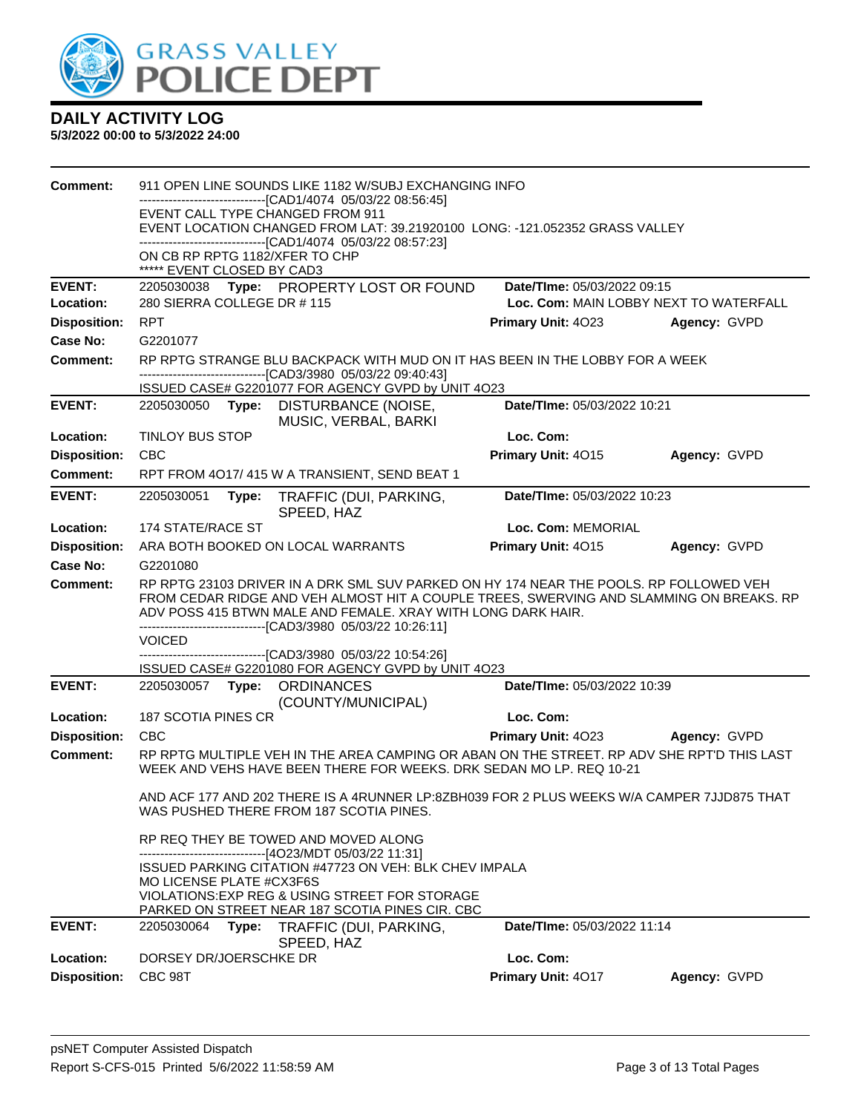

| Comment:            | 911 OPEN LINE SOUNDS LIKE 1182 W/SUBJ EXCHANGING INFO<br>-----------[CAD1/4074 05/03/22 08:56:45]<br>EVENT CALL TYPE CHANGED FROM 911<br>EVENT LOCATION CHANGED FROM LAT: 39.21920100 LONG: -121.052352 GRASS VALLEY<br>------------------------------[CAD1/4074 05/03/22 08:57:23]<br>ON CB RP RPTG 1182/XFER TO CHP<br>***** EVENT CLOSED BY CAD3 |                                                                      |                                                                                                                                                                                                      |                             |              |  |
|---------------------|-----------------------------------------------------------------------------------------------------------------------------------------------------------------------------------------------------------------------------------------------------------------------------------------------------------------------------------------------------|----------------------------------------------------------------------|------------------------------------------------------------------------------------------------------------------------------------------------------------------------------------------------------|-----------------------------|--------------|--|
| <b>EVENT:</b>       |                                                                                                                                                                                                                                                                                                                                                     |                                                                      | 2205030038 Type: PROPERTY LOST OR FOUND                                                                                                                                                              | Date/TIme: 05/03/2022 09:15 |              |  |
| <b>Location:</b>    |                                                                                                                                                                                                                                                                                                                                                     | 280 SIERRA COLLEGE DR #115<br>Loc. Com: MAIN LOBBY NEXT TO WATERFALL |                                                                                                                                                                                                      |                             |              |  |
| <b>Disposition:</b> | <b>RPT</b>                                                                                                                                                                                                                                                                                                                                          |                                                                      |                                                                                                                                                                                                      | <b>Primary Unit: 4023</b>   | Agency: GVPD |  |
| Case No:            | G2201077                                                                                                                                                                                                                                                                                                                                            |                                                                      |                                                                                                                                                                                                      |                             |              |  |
| Comment:            |                                                                                                                                                                                                                                                                                                                                                     |                                                                      | RP RPTG STRANGE BLU BACKPACK WITH MUD ON IT HAS BEEN IN THE LOBBY FOR A WEEK<br>---------------------------------[CAD3/3980 05/03/22 09:40:43]<br>ISSUED CASE# G2201077 FOR AGENCY GVPD by UNIT 4O23 |                             |              |  |
| <b>EVENT:</b>       | 2205030050                                                                                                                                                                                                                                                                                                                                          | Type:                                                                | DISTURBANCE (NOISE,                                                                                                                                                                                  | Date/TIme: 05/03/2022 10:21 |              |  |
|                     |                                                                                                                                                                                                                                                                                                                                                     |                                                                      | MUSIC, VERBAL, BARKI                                                                                                                                                                                 |                             |              |  |
| Location:           | TINLOY BUS STOP                                                                                                                                                                                                                                                                                                                                     |                                                                      |                                                                                                                                                                                                      | Loc. Com:                   |              |  |
| <b>Disposition:</b> | <b>CBC</b>                                                                                                                                                                                                                                                                                                                                          |                                                                      |                                                                                                                                                                                                      | Primary Unit: 4015          | Agency: GVPD |  |
| <b>Comment:</b>     |                                                                                                                                                                                                                                                                                                                                                     |                                                                      | RPT FROM 4017/415 W A TRANSIENT, SEND BEAT 1                                                                                                                                                         |                             |              |  |
| <b>EVENT:</b>       | Date/TIme: 05/03/2022 10:23<br>2205030051<br>Type:<br>TRAFFIC (DUI, PARKING,<br>SPEED, HAZ                                                                                                                                                                                                                                                          |                                                                      |                                                                                                                                                                                                      |                             |              |  |
| Location:           | 174 STATE/RACE ST                                                                                                                                                                                                                                                                                                                                   |                                                                      |                                                                                                                                                                                                      | Loc. Com: MEMORIAL          |              |  |
| <b>Disposition:</b> |                                                                                                                                                                                                                                                                                                                                                     |                                                                      | ARA BOTH BOOKED ON LOCAL WARRANTS                                                                                                                                                                    | Primary Unit: 4015          | Agency: GVPD |  |
| Case No:            | G2201080                                                                                                                                                                                                                                                                                                                                            |                                                                      |                                                                                                                                                                                                      |                             |              |  |
| Comment:            | RP RPTG 23103 DRIVER IN A DRK SML SUV PARKED ON HY 174 NEAR THE POOLS. RP FOLLOWED VEH<br>FROM CEDAR RIDGE AND VEH ALMOST HIT A COUPLE TREES, SWERVING AND SLAMMING ON BREAKS. RP<br>ADV POSS 415 BTWN MALE AND FEMALE. XRAY WITH LONG DARK HAIR.<br>-------------------------------[CAD3/3980_05/03/22 10:26:11]<br><b>VOICED</b>                  |                                                                      |                                                                                                                                                                                                      |                             |              |  |
|                     |                                                                                                                                                                                                                                                                                                                                                     |                                                                      | -------------[CAD3/3980 05/03/22 10:54:26]<br>ISSUED CASE# G2201080 FOR AGENCY GVPD by UNIT 4O23                                                                                                     |                             |              |  |
| <b>EVENT:</b>       |                                                                                                                                                                                                                                                                                                                                                     |                                                                      | 2205030057 Type: ORDINANCES<br>(COUNTY/MUNICIPAL)                                                                                                                                                    | Date/TIme: 05/03/2022 10:39 |              |  |
| Location:           | 187 SCOTIA PINES CR                                                                                                                                                                                                                                                                                                                                 |                                                                      |                                                                                                                                                                                                      | Loc. Com:                   |              |  |
| <b>Disposition:</b> | <b>CBC</b>                                                                                                                                                                                                                                                                                                                                          |                                                                      |                                                                                                                                                                                                      | Primary Unit: 4023          | Agency: GVPD |  |
| Comment:            |                                                                                                                                                                                                                                                                                                                                                     |                                                                      | RP RPTG MULTIPLE VEH IN THE AREA CAMPING OR ABAN ON THE STREET. RP ADV SHE RPT'D THIS LAST<br>WEEK AND VEHS HAVE BEEN THERE FOR WEEKS. DRK SEDAN MO LP. REQ 10-21                                    |                             |              |  |
|                     |                                                                                                                                                                                                                                                                                                                                                     |                                                                      | AND ACF 177 AND 202 THERE IS A 4RUNNER LP:8ZBH039 FOR 2 PLUS WEEKS W/A CAMPER 7JJD875 THAT<br>WAS PUSHED THERE FROM 187 SCOTIA PINES.                                                                |                             |              |  |
|                     |                                                                                                                                                                                                                                                                                                                                                     |                                                                      | RP REQ THEY BE TOWED AND MOVED ALONG<br>-----------------------[4O23/MDT 05/03/22 11:31]                                                                                                             |                             |              |  |
|                     | MO LICENSE PLATE #CX3F6S                                                                                                                                                                                                                                                                                                                            |                                                                      | <b>ISSUED PARKING CITATION #47723 ON VEH: BLK CHEV IMPALA</b><br>VIOLATIONS: EXP REG & USING STREET FOR STORAGE                                                                                      |                             |              |  |
|                     |                                                                                                                                                                                                                                                                                                                                                     |                                                                      | PARKED ON STREET NEAR 187 SCOTIA PINES CIR. CBC                                                                                                                                                      |                             |              |  |
| <b>EVENT:</b>       | 2205030064                                                                                                                                                                                                                                                                                                                                          | Type:                                                                | TRAFFIC (DUI, PARKING,<br>SPEED, HAZ                                                                                                                                                                 | Date/TIme: 05/03/2022 11:14 |              |  |
| Location:           | DORSEY DR/JOERSCHKE DR                                                                                                                                                                                                                                                                                                                              |                                                                      |                                                                                                                                                                                                      | Loc. Com:                   |              |  |
| <b>Disposition:</b> | CBC 98T                                                                                                                                                                                                                                                                                                                                             |                                                                      |                                                                                                                                                                                                      | Primary Unit: 4017          | Agency: GVPD |  |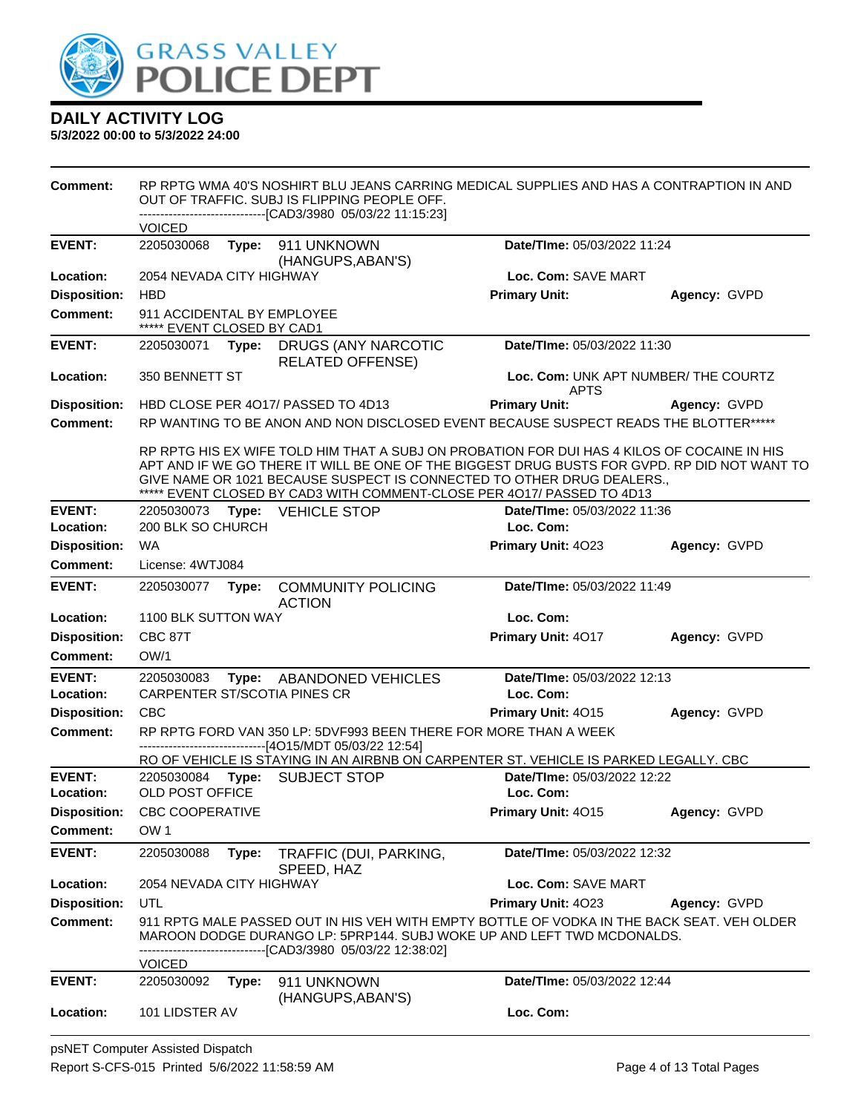

| <b>Comment:</b>                   | RP RPTG WMA 40'S NOSHIRT BLU JEANS CARRING MEDICAL SUPPLIES AND HAS A CONTRAPTION IN AND<br>OUT OF TRAFFIC. SUBJ IS FLIPPING PEOPLE OFF.<br>-------------------------------[CAD3/3980_05/03/22 11:15:23] |       |                                                                  |                                                                                                                                                                                                                                                                                                                                                 |              |
|-----------------------------------|----------------------------------------------------------------------------------------------------------------------------------------------------------------------------------------------------------|-------|------------------------------------------------------------------|-------------------------------------------------------------------------------------------------------------------------------------------------------------------------------------------------------------------------------------------------------------------------------------------------------------------------------------------------|--------------|
|                                   | <b>VOICED</b>                                                                                                                                                                                            |       |                                                                  |                                                                                                                                                                                                                                                                                                                                                 |              |
| <b>EVENT:</b>                     | 2205030068                                                                                                                                                                                               | Type: | 911 UNKNOWN<br>(HANGUPS, ABAN'S)                                 | Date/TIme: 05/03/2022 11:24                                                                                                                                                                                                                                                                                                                     |              |
| Location:                         | 2054 NEVADA CITY HIGHWAY                                                                                                                                                                                 |       |                                                                  | Loc. Com: SAVE MART                                                                                                                                                                                                                                                                                                                             |              |
| <b>Disposition:</b>               | <b>HBD</b>                                                                                                                                                                                               |       |                                                                  | <b>Primary Unit:</b>                                                                                                                                                                                                                                                                                                                            | Agency: GVPD |
| <b>Comment:</b>                   | 911 ACCIDENTAL BY EMPLOYEE<br>***** EVENT CLOSED BY CAD1                                                                                                                                                 |       |                                                                  |                                                                                                                                                                                                                                                                                                                                                 |              |
| <b>EVENT:</b>                     | 2205030071                                                                                                                                                                                               | Type: | DRUGS (ANY NARCOTIC<br><b>RELATED OFFENSE)</b>                   | Date/TIme: 05/03/2022 11:30                                                                                                                                                                                                                                                                                                                     |              |
| <b>Location:</b>                  | 350 BENNETT ST                                                                                                                                                                                           |       |                                                                  | Loc. Com: UNK APT NUMBER/ THE COURTZ                                                                                                                                                                                                                                                                                                            |              |
| <b>Disposition:</b>               |                                                                                                                                                                                                          |       | HBD CLOSE PER 4017/ PASSED TO 4D13                               | <b>APTS</b><br><b>Primary Unit:</b>                                                                                                                                                                                                                                                                                                             | Agency: GVPD |
| <b>Comment:</b>                   |                                                                                                                                                                                                          |       |                                                                  | RP WANTING TO BE ANON AND NON DISCLOSED EVENT BECAUSE SUSPECT READS THE BLOTTER*****                                                                                                                                                                                                                                                            |              |
|                                   |                                                                                                                                                                                                          |       |                                                                  | RP RPTG HIS EX WIFE TOLD HIM THAT A SUBJ ON PROBATION FOR DUI HAS 4 KILOS OF COCAINE IN HIS<br>APT AND IF WE GO THERE IT WILL BE ONE OF THE BIGGEST DRUG BUSTS FOR GVPD. RP DID NOT WANT TO<br>GIVE NAME OR 1021 BECAUSE SUSPECT IS CONNECTED TO OTHER DRUG DEALERS.,<br>***** EVENT CLOSED BY CAD3 WITH COMMENT-CLOSE PER 4017/ PASSED TO 4D13 |              |
| <b>EVENT:</b><br>Location:        | 200 BLK SO CHURCH                                                                                                                                                                                        |       | 2205030073    Type: VEHICLE STOP                                 | Date/TIme: 05/03/2022 11:36<br>Loc. Com:                                                                                                                                                                                                                                                                                                        |              |
| <b>Disposition:</b>               | WA                                                                                                                                                                                                       |       |                                                                  | Primary Unit: 4023                                                                                                                                                                                                                                                                                                                              | Agency: GVPD |
| <b>Comment:</b>                   | License: 4WTJ084                                                                                                                                                                                         |       |                                                                  |                                                                                                                                                                                                                                                                                                                                                 |              |
| <b>EVENT:</b>                     | 2205030077                                                                                                                                                                                               | Type: | <b>COMMUNITY POLICING</b><br><b>ACTION</b>                       | Date/TIme: 05/03/2022 11:49                                                                                                                                                                                                                                                                                                                     |              |
| Location:                         | 1100 BLK SUTTON WAY                                                                                                                                                                                      |       |                                                                  | Loc. Com:                                                                                                                                                                                                                                                                                                                                       |              |
| <b>Disposition:</b>               | CBC 87T                                                                                                                                                                                                  |       |                                                                  | Primary Unit: 4017                                                                                                                                                                                                                                                                                                                              | Agency: GVPD |
| <b>Comment:</b>                   | OW/1                                                                                                                                                                                                     |       |                                                                  |                                                                                                                                                                                                                                                                                                                                                 |              |
| <b>EVENT:</b><br><b>Location:</b> | 2205030083                                                                                                                                                                                               |       | Type: ABANDONED VEHICLES<br>CARPENTER ST/SCOTIA PINES CR         | Date/TIme: 05/03/2022 12:13<br>Loc. Com:                                                                                                                                                                                                                                                                                                        |              |
| <b>Disposition:</b>               | <b>CBC</b>                                                                                                                                                                                               |       |                                                                  | Primary Unit: 4015                                                                                                                                                                                                                                                                                                                              | Agency: GVPD |
| Comment:                          |                                                                                                                                                                                                          |       | RP RPTG FORD VAN 350 LP: 5DVF993 BEEN THERE FOR MORE THAN A WEEK |                                                                                                                                                                                                                                                                                                                                                 |              |
|                                   |                                                                                                                                                                                                          |       | ------------------------------[4O15/MDT 05/03/22 12:54]          | RO OF VEHICLE IS STAYING IN AN AIRBNB ON CARPENTER ST. VEHICLE IS PARKED LEGALLY. CBC                                                                                                                                                                                                                                                           |              |
| <b>EVENT:</b>                     | 2205030084                                                                                                                                                                                               |       | Type: SUBJECT STOP                                               | Date/TIme: 05/03/2022 12:22                                                                                                                                                                                                                                                                                                                     |              |
| Location:                         | OLD POST OFFICE                                                                                                                                                                                          |       |                                                                  | Loc. Com:                                                                                                                                                                                                                                                                                                                                       |              |
| <b>Disposition:</b>               | <b>CBC COOPERATIVE</b>                                                                                                                                                                                   |       |                                                                  | Primary Unit: 4015                                                                                                                                                                                                                                                                                                                              | Agency: GVPD |
| <b>Comment:</b>                   | OW <sub>1</sub>                                                                                                                                                                                          |       |                                                                  |                                                                                                                                                                                                                                                                                                                                                 |              |
| <b>EVENT:</b>                     | 2205030088                                                                                                                                                                                               | Type: | TRAFFIC (DUI, PARKING,<br>SPEED, HAZ                             | Date/TIme: 05/03/2022 12:32                                                                                                                                                                                                                                                                                                                     |              |
| Location:                         | 2054 NEVADA CITY HIGHWAY                                                                                                                                                                                 |       |                                                                  | Loc. Com: SAVE MART                                                                                                                                                                                                                                                                                                                             |              |
| <b>Disposition:</b>               | UTL                                                                                                                                                                                                      |       |                                                                  | Primary Unit: 4023                                                                                                                                                                                                                                                                                                                              | Agency: GVPD |
| <b>Comment:</b>                   |                                                                                                                                                                                                          |       | --[CAD3/3980 05/03/22 12:38:02]                                  | 911 RPTG MALE PASSED OUT IN HIS VEH WITH EMPTY BOTTLE OF VODKA IN THE BACK SEAT. VEH OLDER<br>MAROON DODGE DURANGO LP: 5PRP144. SUBJ WOKE UP AND LEFT TWD MCDONALDS.                                                                                                                                                                            |              |
|                                   | <b>VOICED</b>                                                                                                                                                                                            |       |                                                                  |                                                                                                                                                                                                                                                                                                                                                 |              |
| <b>EVENT:</b>                     | 2205030092                                                                                                                                                                                               | Type: | 911 UNKNOWN<br>(HANGUPS, ABAN'S)                                 | Date/TIme: 05/03/2022 12:44                                                                                                                                                                                                                                                                                                                     |              |
| Location:                         | 101 LIDSTER AV                                                                                                                                                                                           |       |                                                                  | Loc. Com:                                                                                                                                                                                                                                                                                                                                       |              |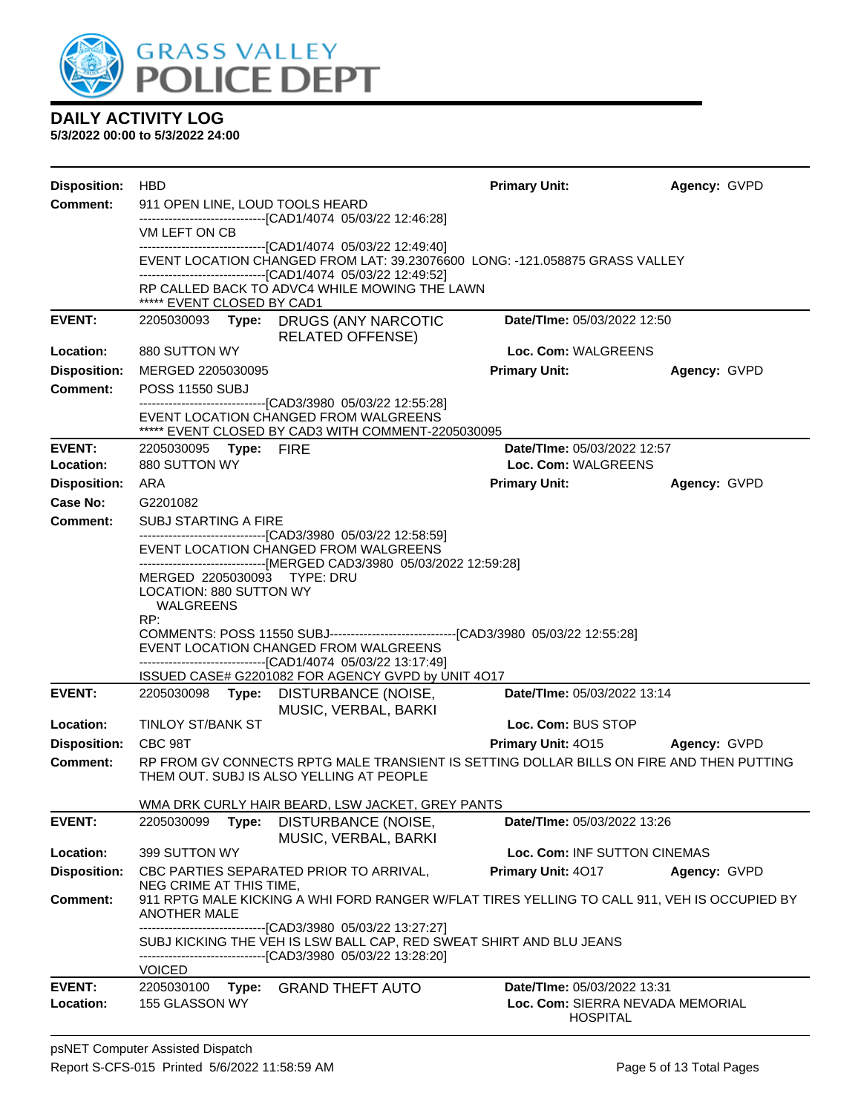

| <b>Disposition:</b> | <b>HBD</b>                                                                                           |                                                                                                                                                                                               | <b>Primary Unit:</b>                                | Agency: GVPD |  |  |  |
|---------------------|------------------------------------------------------------------------------------------------------|-----------------------------------------------------------------------------------------------------------------------------------------------------------------------------------------------|-----------------------------------------------------|--------------|--|--|--|
| <b>Comment:</b>     | 911 OPEN LINE, LOUD TOOLS HEARD                                                                      |                                                                                                                                                                                               |                                                     |              |  |  |  |
|                     | -------------------------------[CAD1/4074 05/03/22 12:46:28]<br>VM LEFT ON CB                        |                                                                                                                                                                                               |                                                     |              |  |  |  |
|                     |                                                                                                      | -------------------------------[CAD1/4074 05/03/22 12:49:40]                                                                                                                                  |                                                     |              |  |  |  |
|                     |                                                                                                      | EVENT LOCATION CHANGED FROM LAT: 39.23076600 LONG: -121.058875 GRASS VALLEY<br>-------------------------------[CAD1/4074 05/03/22 12:49:52]                                                   |                                                     |              |  |  |  |
|                     |                                                                                                      | RP CALLED BACK TO ADVC4 WHILE MOWING THE LAWN                                                                                                                                                 |                                                     |              |  |  |  |
| <b>EVENT:</b>       | ***** EVENT CLOSED BY CAD1                                                                           |                                                                                                                                                                                               | Date/TIme: 05/03/2022 12:50                         |              |  |  |  |
|                     |                                                                                                      | 2205030093 Type: DRUGS (ANY NARCOTIC<br><b>RELATED OFFENSE)</b>                                                                                                                               |                                                     |              |  |  |  |
| Location:           | 880 SUTTON WY                                                                                        |                                                                                                                                                                                               | Loc. Com: WALGREENS                                 |              |  |  |  |
| <b>Disposition:</b> | MERGED 2205030095                                                                                    |                                                                                                                                                                                               | <b>Primary Unit:</b>                                | Agency: GVPD |  |  |  |
| <b>Comment:</b>     | <b>POSS 11550 SUBJ</b>                                                                               |                                                                                                                                                                                               |                                                     |              |  |  |  |
|                     |                                                                                                      | ------------------------------[CAD3/3980 05/03/22 12:55:28]<br>EVENT LOCATION CHANGED FROM WALGREENS                                                                                          |                                                     |              |  |  |  |
|                     |                                                                                                      | ***** EVENT CLOSED BY CAD3 WITH COMMENT-2205030095                                                                                                                                            |                                                     |              |  |  |  |
| <b>EVENT:</b>       | 2205030095 Type: FIRE                                                                                |                                                                                                                                                                                               | Date/TIme: 05/03/2022 12:57                         |              |  |  |  |
| Location:           | 880 SUTTON WY                                                                                        |                                                                                                                                                                                               | Loc. Com: WALGREENS                                 |              |  |  |  |
| <b>Disposition:</b> | ARA                                                                                                  |                                                                                                                                                                                               | <b>Primary Unit:</b>                                | Agency: GVPD |  |  |  |
| Case No:            | G2201082                                                                                             |                                                                                                                                                                                               |                                                     |              |  |  |  |
| Comment:            | <b>SUBJ STARTING A FIRE</b>                                                                          | --------------------------------[CAD3/3980 05/03/22 12:58:59]                                                                                                                                 |                                                     |              |  |  |  |
|                     | EVENT LOCATION CHANGED FROM WALGREENS                                                                |                                                                                                                                                                                               |                                                     |              |  |  |  |
|                     | -------------------------------[MERGED CAD3/3980 05/03/2022 12:59:28]<br>MERGED 2205030093 TYPE: DRU |                                                                                                                                                                                               |                                                     |              |  |  |  |
|                     | <b>LOCATION: 880 SUTTON WY</b><br><b>WALGREENS</b>                                                   |                                                                                                                                                                                               |                                                     |              |  |  |  |
|                     | RP:                                                                                                  |                                                                                                                                                                                               |                                                     |              |  |  |  |
|                     |                                                                                                      | COMMENTS: POSS 11550 SUBJ-----------------------------------[CAD3/3980 05/03/22 12:55:28]<br>EVENT LOCATION CHANGED FROM WALGREENS                                                            |                                                     |              |  |  |  |
|                     |                                                                                                      | -------------------------------[CAD1/4074 05/03/22 13:17:49]                                                                                                                                  |                                                     |              |  |  |  |
|                     |                                                                                                      | ISSUED CASE# G2201082 FOR AGENCY GVPD by UNIT 4O17                                                                                                                                            |                                                     |              |  |  |  |
| <b>EVENT:</b>       |                                                                                                      | 2205030098 Type: DISTURBANCE (NOISE,<br>MUSIC, VERBAL, BARKI                                                                                                                                  | Date/TIme: 05/03/2022 13:14                         |              |  |  |  |
| Location:           | TINLOY ST/BANK ST                                                                                    |                                                                                                                                                                                               | Loc. Com: BUS STOP                                  |              |  |  |  |
| <b>Disposition:</b> | CBC 98T                                                                                              |                                                                                                                                                                                               | <b>Primary Unit: 4015 Agency: GVPD</b>              |              |  |  |  |
| Comment:            |                                                                                                      | RP FROM GV CONNECTS RPTG MALE TRANSIENT IS SETTING DOLLAR BILLS ON FIRE AND THEN PUTTING                                                                                                      |                                                     |              |  |  |  |
|                     |                                                                                                      | THEM OUT. SUBJ IS ALSO YELLING AT PEOPLE                                                                                                                                                      |                                                     |              |  |  |  |
|                     |                                                                                                      | WMA DRK CURLY HAIR BEARD, LSW JACKET, GREY PANTS                                                                                                                                              |                                                     |              |  |  |  |
| <b>EVENT:</b>       | 2205030099<br>Type:                                                                                  | DISTURBANCE (NOISE,                                                                                                                                                                           | Date/TIme: 05/03/2022 13:26                         |              |  |  |  |
| Location:           |                                                                                                      | MUSIC, VERBAL, BARKI                                                                                                                                                                          | Loc. Com: INF SUTTON CINEMAS                        |              |  |  |  |
| <b>Disposition:</b> | 399 SUTTON WY                                                                                        | CBC PARTIES SEPARATED PRIOR TO ARRIVAL,                                                                                                                                                       | Primary Unit: 4017                                  | Agency: GVPD |  |  |  |
|                     | NEG CRIME AT THIS TIME,                                                                              |                                                                                                                                                                                               |                                                     |              |  |  |  |
| <b>Comment:</b>     | <b>ANOTHER MALE</b>                                                                                  | 911 RPTG MALE KICKING A WHI FORD RANGER W/FLAT TIRES YELLING TO CALL 911, VEH IS OCCUPIED BY                                                                                                  |                                                     |              |  |  |  |
|                     |                                                                                                      | ------------------------[CAD3/3980_05/03/22_13:27:27]<br>SUBJ KICKING THE VEH IS LSW BALL CAP, RED SWEAT SHIRT AND BLU JEANS<br>--------------------------------[CAD3/3980 05/03/22 13:28:20] |                                                     |              |  |  |  |
|                     | <b>VOICED</b>                                                                                        |                                                                                                                                                                                               |                                                     |              |  |  |  |
| <b>EVENT:</b>       | 2205030100<br>Type:                                                                                  | <b>GRAND THEFT AUTO</b>                                                                                                                                                                       | Date/TIme: 05/03/2022 13:31                         |              |  |  |  |
| Location:           | 155 GLASSON WY                                                                                       |                                                                                                                                                                                               | Loc. Com: SIERRA NEVADA MEMORIAL<br><b>HOSPITAL</b> |              |  |  |  |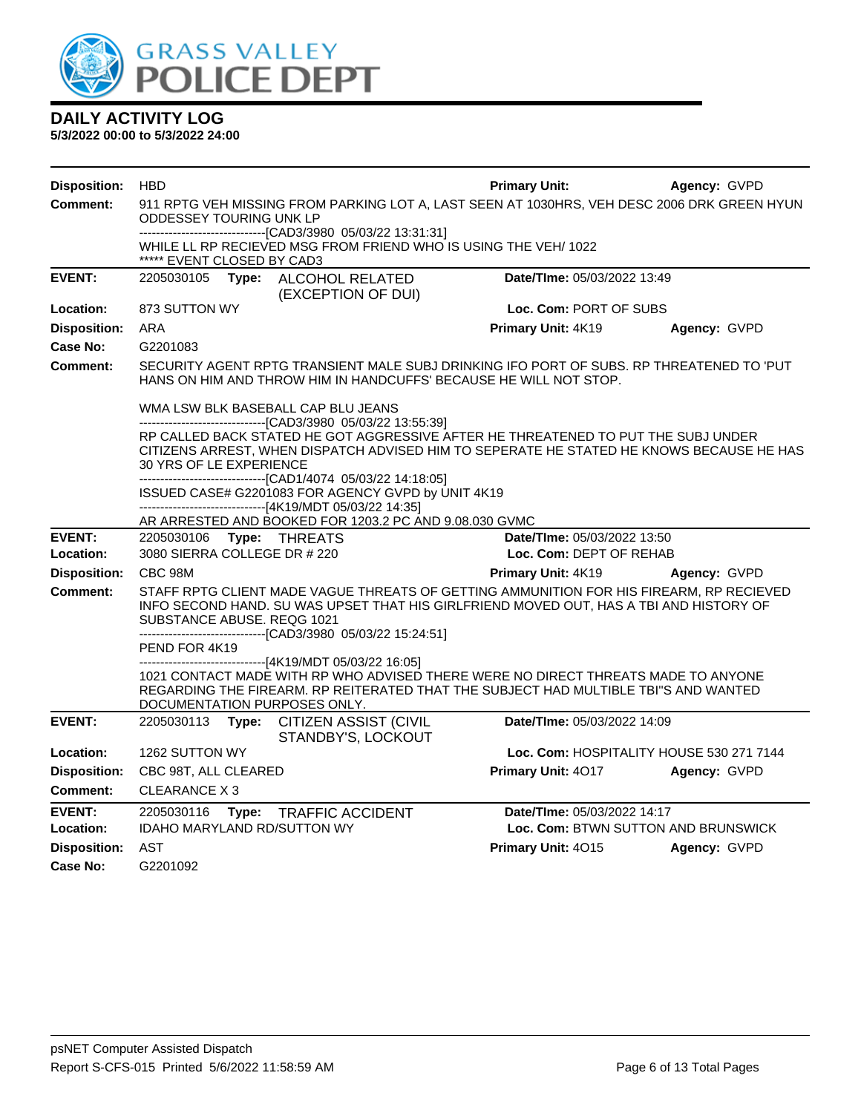

| <b>Disposition:</b> | <b>HBD</b>                                                                                                                                                                                                                                                                                                                                            |       |                                                                                                                                                                                                          | <b>Primary Unit:</b>        | Agency: GVPD                             |
|---------------------|-------------------------------------------------------------------------------------------------------------------------------------------------------------------------------------------------------------------------------------------------------------------------------------------------------------------------------------------------------|-------|----------------------------------------------------------------------------------------------------------------------------------------------------------------------------------------------------------|-----------------------------|------------------------------------------|
| <b>Comment:</b>     | <b>ODDESSEY TOURING UNK LP</b>                                                                                                                                                                                                                                                                                                                        |       | 911 RPTG VEH MISSING FROM PARKING LOT A, LAST SEEN AT 1030HRS, VEH DESC 2006 DRK GREEN HYUN                                                                                                              |                             |                                          |
|                     | ***** EVENT CLOSED BY CAD3                                                                                                                                                                                                                                                                                                                            |       | -------------------------------[CAD3/3980 05/03/22 13:31:31]<br>WHILE LL RP RECIEVED MSG FROM FRIEND WHO IS USING THE VEH/1022                                                                           |                             |                                          |
| <b>EVENT:</b>       |                                                                                                                                                                                                                                                                                                                                                       |       | 2205030105 Type: ALCOHOL RELATED<br>(EXCEPTION OF DUI)                                                                                                                                                   | Date/TIme: 05/03/2022 13:49 |                                          |
| Location:           | 873 SUTTON WY                                                                                                                                                                                                                                                                                                                                         |       |                                                                                                                                                                                                          | Loc. Com: PORT OF SUBS      |                                          |
| <b>Disposition:</b> | <b>ARA</b>                                                                                                                                                                                                                                                                                                                                            |       |                                                                                                                                                                                                          | Primary Unit: 4K19          | Agency: GVPD                             |
| Case No:            | G2201083                                                                                                                                                                                                                                                                                                                                              |       |                                                                                                                                                                                                          |                             |                                          |
| <b>Comment:</b>     | SECURITY AGENT RPTG TRANSIENT MALE SUBJ DRINKING IFO PORT OF SUBS. RP THREATENED TO 'PUT<br>HANS ON HIM AND THROW HIM IN HANDCUFFS' BECAUSE HE WILL NOT STOP.                                                                                                                                                                                         |       |                                                                                                                                                                                                          |                             |                                          |
|                     |                                                                                                                                                                                                                                                                                                                                                       |       | WMA LSW BLK BASEBALL CAP BLU JEANS<br>--------------------------------[CAD3/3980 05/03/22 13:55:39]                                                                                                      |                             |                                          |
|                     | RP CALLED BACK STATED HE GOT AGGRESSIVE AFTER HE THREATENED TO PUT THE SUBJ UNDER<br>CITIZENS ARREST, WHEN DISPATCH ADVISED HIM TO SEPERATE HE STATED HE KNOWS BECAUSE HE HAS<br>30 YRS OF LE EXPERIENCE                                                                                                                                              |       |                                                                                                                                                                                                          |                             |                                          |
|                     |                                                                                                                                                                                                                                                                                                                                                       |       | -------------------------------[CAD1/4074 05/03/22 14:18:05]<br>ISSUED CASE# G2201083 FOR AGENCY GVPD by UNIT 4K19<br>------------------------------[4K19/MDT 05/03/22 14:35]                            |                             |                                          |
|                     |                                                                                                                                                                                                                                                                                                                                                       |       | AR ARRESTED AND BOOKED FOR 1203.2 PC AND 9.08.030 GVMC                                                                                                                                                   |                             |                                          |
| <b>EVENT:</b>       | 2205030106    Type: THREATS                                                                                                                                                                                                                                                                                                                           |       |                                                                                                                                                                                                          | Date/TIme: 05/03/2022 13:50 |                                          |
| Location:           | 3080 SIERRA COLLEGE DR # 220                                                                                                                                                                                                                                                                                                                          |       |                                                                                                                                                                                                          | Loc. Com: DEPT OF REHAB     |                                          |
| <b>Disposition:</b> | CBC 98M                                                                                                                                                                                                                                                                                                                                               |       |                                                                                                                                                                                                          | Primary Unit: 4K19          | Agency: GVPD                             |
| <b>Comment:</b>     | STAFF RPTG CLIENT MADE VAGUE THREATS OF GETTING AMMUNITION FOR HIS FIREARM, RP RECIEVED<br>INFO SECOND HAND. SU WAS UPSET THAT HIS GIRLFRIEND MOVED OUT, HAS A TBI AND HISTORY OF<br>SUBSTANCE ABUSE. REQG 1021<br>-------------------------------[CAD3/3980 05/03/22 15:24:51]<br>PEND FOR 4K19<br>------------------------[4K19/MDT 05/03/22 16:05] |       |                                                                                                                                                                                                          |                             |                                          |
|                     |                                                                                                                                                                                                                                                                                                                                                       |       | 1021 CONTACT MADE WITH RP WHO ADVISED THERE WERE NO DIRECT THREATS MADE TO ANYONE<br>REGARDING THE FIREARM. RP REITERATED THAT THE SUBJECT HAD MULTIBLE TBI"S AND WANTED<br>DOCUMENTATION PURPOSES ONLY. |                             |                                          |
| <b>EVENT:</b>       | 2205030113                                                                                                                                                                                                                                                                                                                                            | Type: | <b>CITIZEN ASSIST (CIVIL</b><br>STANDBY'S, LOCKOUT                                                                                                                                                       | Date/TIme: 05/03/2022 14:09 |                                          |
| Location:           | 1262 SUTTON WY                                                                                                                                                                                                                                                                                                                                        |       |                                                                                                                                                                                                          |                             | Loc. Com: HOSPITALITY HOUSE 530 271 7144 |
| <b>Disposition:</b> | CBC 98T, ALL CLEARED                                                                                                                                                                                                                                                                                                                                  |       |                                                                                                                                                                                                          | Primary Unit: 4017          | Agency: GVPD                             |
| Comment:            | CLEARANCE X 3                                                                                                                                                                                                                                                                                                                                         |       |                                                                                                                                                                                                          |                             |                                          |
| <b>EVENT:</b>       | 2205030116                                                                                                                                                                                                                                                                                                                                            | Type: | <b>TRAFFIC ACCIDENT</b>                                                                                                                                                                                  | Date/TIme: 05/03/2022 14:17 |                                          |
| Location:           | IDAHO MARYLAND RD/SUTTON WY                                                                                                                                                                                                                                                                                                                           |       |                                                                                                                                                                                                          |                             | Loc. Com: BTWN SUTTON AND BRUNSWICK      |
| <b>Disposition:</b> | AST                                                                                                                                                                                                                                                                                                                                                   |       |                                                                                                                                                                                                          | Primary Unit: 4015          | Agency: GVPD                             |
| Case No:            | G2201092                                                                                                                                                                                                                                                                                                                                              |       |                                                                                                                                                                                                          |                             |                                          |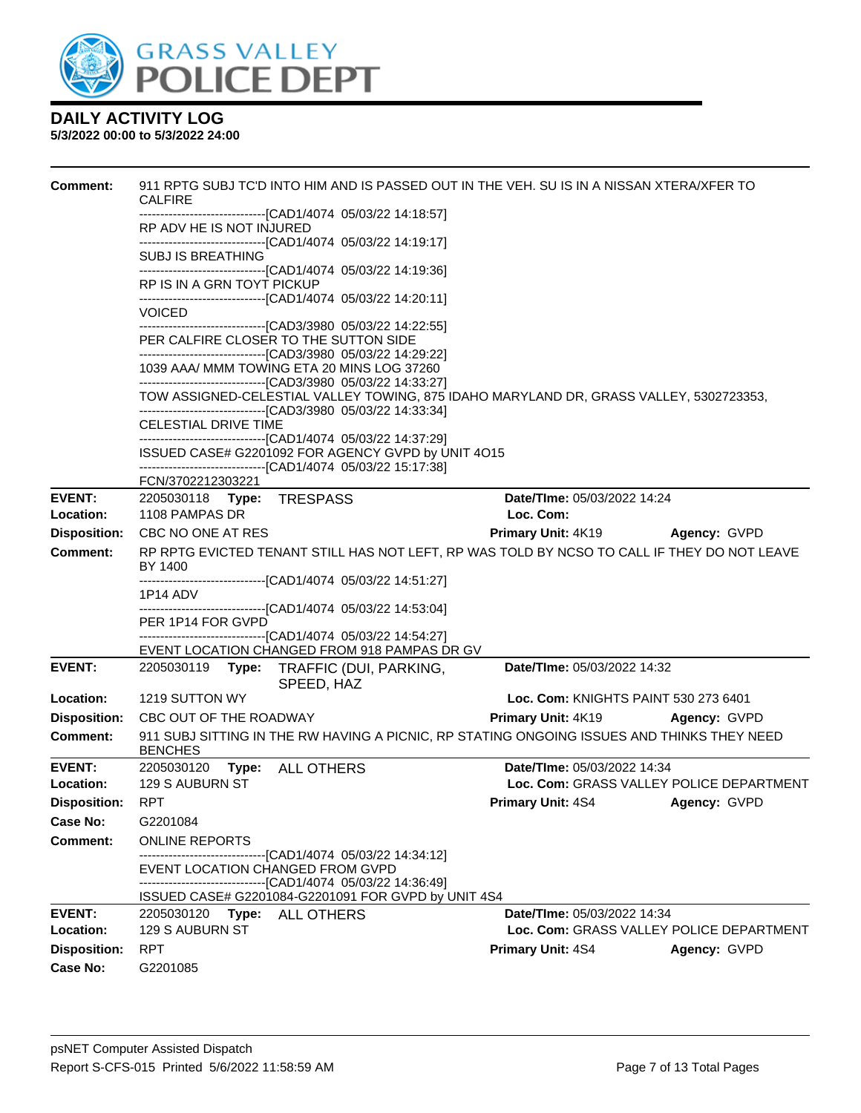

| <b>Comment:</b>            | <b>CALFIRE</b>                              |                                                                                                                                                                                    | 911 RPTG SUBJ TC'D INTO HIM AND IS PASSED OUT IN THE VEH. SU IS IN A NISSAN XTERA/XFER TO   |                                          |  |  |
|----------------------------|---------------------------------------------|------------------------------------------------------------------------------------------------------------------------------------------------------------------------------------|---------------------------------------------------------------------------------------------|------------------------------------------|--|--|
|                            | RP ADV HE IS NOT INJURED                    | ------------------------[CAD1/4074_05/03/22 14:18:57]                                                                                                                              |                                                                                             |                                          |  |  |
|                            | <b>SUBJ IS BREATHING</b>                    | ------------------------------[CAD1/4074 05/03/22 14:19:17]                                                                                                                        |                                                                                             |                                          |  |  |
|                            | RP IS IN A GRN TOYT PICKUP                  | ----------------------------------[CAD1/4074 05/03/22 14:19:36]                                                                                                                    |                                                                                             |                                          |  |  |
|                            | <b>VOICED</b>                               | --------------------------------[CAD1/4074 05/03/22 14:20:11]                                                                                                                      |                                                                                             |                                          |  |  |
|                            |                                             | -------------------------------[CAD3/3980 05/03/22 14:22:55]<br>PER CALFIRE CLOSER TO THE SUTTON SIDE<br>--------------------------------[CAD3/3980 05/03/22 14:29:22]             |                                                                                             |                                          |  |  |
|                            |                                             | 1039 AAA/ MMM TOWING ETA 20 MINS LOG 37260<br>--------------------------------[CAD3/3980 05/03/22 14:33:27]                                                                        |                                                                                             |                                          |  |  |
|                            |                                             | ------------------------------[CAD3/3980 05/03/22 14:33:34]                                                                                                                        | TOW ASSIGNED-CELESTIAL VALLEY TOWING, 875 IDAHO MARYLAND DR, GRASS VALLEY, 5302723353,      |                                          |  |  |
|                            | <b>CELESTIAL DRIVE TIME</b>                 |                                                                                                                                                                                    |                                                                                             |                                          |  |  |
|                            |                                             | -------------------------------[CAD1/4074_05/03/22 14:37:29]<br>ISSUED CASE# G2201092 FOR AGENCY GVPD by UNIT 4O15<br>-------------------------------[CAD1/4074_05/03/22 15:17:38] |                                                                                             |                                          |  |  |
|                            | FCN/3702212303221                           |                                                                                                                                                                                    |                                                                                             |                                          |  |  |
| <b>EVENT:</b><br>Location: | 2205030118 Type: TRESPASS<br>1108 PAMPAS DR |                                                                                                                                                                                    | Date/TIme: 05/03/2022 14:24<br>Loc. Com:                                                    |                                          |  |  |
| <b>Disposition:</b>        | CBC NO ONE AT RES                           |                                                                                                                                                                                    | <b>Primary Unit: 4K19</b>                                                                   | Agency: GVPD                             |  |  |
| <b>Comment:</b>            | BY 1400                                     |                                                                                                                                                                                    | RP RPTG EVICTED TENANT STILL HAS NOT LEFT, RP WAS TOLD BY NCSO TO CALL IF THEY DO NOT LEAVE |                                          |  |  |
|                            | 1P14 ADV                                    | ---------------------------[CAD1/4074_05/03/22 14:51:27]                                                                                                                           |                                                                                             |                                          |  |  |
|                            | PER 1P14 FOR GVPD                           | ----------------------------------[CAD1/4074 05/03/22 14:53:04]                                                                                                                    |                                                                                             |                                          |  |  |
|                            |                                             | --------------------------------[CAD1/4074 05/03/22 14:54:27]<br>EVENT LOCATION CHANGED FROM 918 PAMPAS DR GV                                                                      |                                                                                             |                                          |  |  |
| <b>EVENT:</b>              | 2205030119                                  | Type: TRAFFIC (DUI, PARKING,<br>SPEED, HAZ                                                                                                                                         | Date/TIme: 05/03/2022 14:32                                                                 |                                          |  |  |
| Location:                  | 1219 SUTTON WY                              |                                                                                                                                                                                    | Loc. Com: KNIGHTS PAINT 530 273 6401                                                        |                                          |  |  |
| <b>Disposition:</b>        | CBC OUT OF THE ROADWAY                      |                                                                                                                                                                                    | <b>Primary Unit: 4K19</b>                                                                   | Agency: GVPD                             |  |  |
| <b>Comment:</b>            | <b>BENCHES</b>                              |                                                                                                                                                                                    | 911 SUBJ SITTING IN THE RW HAVING A PICNIC, RP STATING ONGOING ISSUES AND THINKS THEY NEED  |                                          |  |  |
| EVENT:                     | 2205030120 Type:                            | <b>ALL OTHERS</b>                                                                                                                                                                  | Date/TIme: 05/03/2022 14:34                                                                 |                                          |  |  |
| Location:                  | 129 S AUBURN ST                             |                                                                                                                                                                                    |                                                                                             | Loc. Com: GRASS VALLEY POLICE DEPARTMENT |  |  |
| <b>Disposition:</b>        | RPT                                         |                                                                                                                                                                                    | <b>Primary Unit: 4S4 Agency: GVPD</b>                                                       |                                          |  |  |
| Case No:                   | G2201084                                    |                                                                                                                                                                                    |                                                                                             |                                          |  |  |
| Comment:                   | <b>ONLINE REPORTS</b>                       |                                                                                                                                                                                    |                                                                                             |                                          |  |  |
|                            | EVENT LOCATION CHANGED FROM GVPD            |                                                                                                                                                                                    |                                                                                             |                                          |  |  |
|                            |                                             | -------------------------------[CAD1/4074 05/03/22 14:36:49]<br>ISSUED CASE# G2201084-G2201091 FOR GVPD by UNIT 4S4                                                                |                                                                                             |                                          |  |  |
| <b>EVENT:</b>              | 2205030120 Type: ALL OTHERS                 |                                                                                                                                                                                    | Date/TIme: 05/03/2022 14:34                                                                 |                                          |  |  |
| Location:                  | 129 S AUBURN ST                             |                                                                                                                                                                                    |                                                                                             | Loc. Com: GRASS VALLEY POLICE DEPARTMENT |  |  |
| <b>Disposition:</b>        | <b>RPT</b>                                  |                                                                                                                                                                                    | <b>Primary Unit: 4S4</b>                                                                    | Agency: GVPD                             |  |  |
| <b>Case No:</b>            | G2201085                                    |                                                                                                                                                                                    |                                                                                             |                                          |  |  |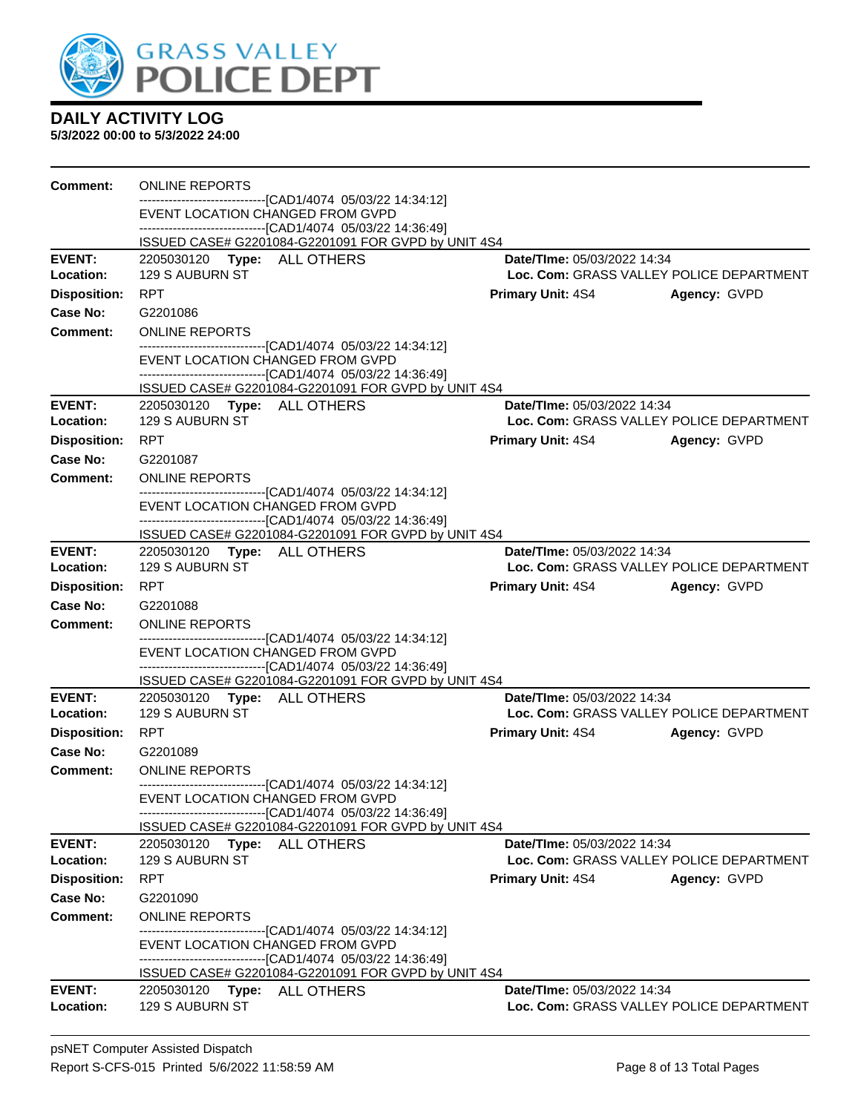

| Comment:                   | <b>ONLINE REPORTS</b>                          |                                                                                                                     |                             |                                          |
|----------------------------|------------------------------------------------|---------------------------------------------------------------------------------------------------------------------|-----------------------------|------------------------------------------|
|                            |                                                | ------------------------[CAD1/4074_05/03/22 14:34:12]<br>EVENT LOCATION CHANGED FROM GVPD                           |                             |                                          |
|                            |                                                | -------------------------------[CAD1/4074 05/03/22 14:36:49]                                                        |                             |                                          |
|                            |                                                | ISSUED CASE# G2201084-G2201091 FOR GVPD by UNIT 4S4                                                                 |                             |                                          |
| <b>EVENT:</b><br>Location: | 2205030120 Type: ALL OTHERS<br>129 S AUBURN ST |                                                                                                                     | Date/TIme: 05/03/2022 14:34 | Loc. Com: GRASS VALLEY POLICE DEPARTMENT |
| <b>Disposition:</b>        | <b>RPT</b>                                     |                                                                                                                     | <b>Primary Unit: 4S4</b>    | Agency: GVPD                             |
| Case No:                   | G2201086                                       |                                                                                                                     |                             |                                          |
| <b>Comment:</b>            | <b>ONLINE REPORTS</b>                          |                                                                                                                     |                             |                                          |
|                            |                                                | -------------------------------[CAD1/4074 05/03/22 14:34:12]                                                        |                             |                                          |
|                            |                                                | EVENT LOCATION CHANGED FROM GVPD                                                                                    |                             |                                          |
|                            |                                                | -------------------------------[CAD1/4074 05/03/22 14:36:49]<br>ISSUED CASE# G2201084-G2201091 FOR GVPD by UNIT 4S4 |                             |                                          |
| <b>EVENT:</b>              | 2205030120 Type: ALL OTHERS                    |                                                                                                                     | Date/TIme: 05/03/2022 14:34 |                                          |
| Location:                  | 129 S AUBURN ST                                |                                                                                                                     |                             | Loc. Com: GRASS VALLEY POLICE DEPARTMENT |
| <b>Disposition:</b>        | <b>RPT</b>                                     |                                                                                                                     | <b>Primary Unit: 4S4</b>    | Agency: GVPD                             |
| Case No:                   | G2201087                                       |                                                                                                                     |                             |                                          |
| <b>Comment:</b>            | <b>ONLINE REPORTS</b>                          |                                                                                                                     |                             |                                          |
|                            |                                                | --------------------------------[CAD1/4074_05/03/22_14:34:12]                                                       |                             |                                          |
|                            |                                                | EVENT LOCATION CHANGED FROM GVPD<br>------------------------------[CAD1/4074 05/03/22 14:36:49]                     |                             |                                          |
|                            |                                                | ISSUED CASE# G2201084-G2201091 FOR GVPD by UNIT 4S4                                                                 |                             |                                          |
| <b>EVENT:</b>              | 2205030120 Type: ALL OTHERS                    |                                                                                                                     | Date/TIme: 05/03/2022 14:34 |                                          |
| Location:                  | 129 S AUBURN ST                                |                                                                                                                     |                             | Loc. Com: GRASS VALLEY POLICE DEPARTMENT |
| <b>Disposition:</b>        | <b>RPT</b>                                     |                                                                                                                     | <b>Primary Unit: 4S4</b>    | Agency: GVPD                             |
| Case No:                   | G2201088                                       |                                                                                                                     |                             |                                          |
| Comment:                   | <b>ONLINE REPORTS</b>                          |                                                                                                                     |                             |                                          |
|                            |                                                | ------------------------------[CAD1/4074_05/03/22 14:34:12]<br>EVENT LOCATION CHANGED FROM GVPD                     |                             |                                          |
|                            |                                                | -------------------------------[CAD1/4074 05/03/22 14:36:49]                                                        |                             |                                          |
|                            |                                                | ISSUED CASE# G2201084-G2201091 FOR GVPD by UNIT 4S4                                                                 |                             |                                          |
| <b>EVENT:</b><br>Location: | 2205030120 Type: ALL OTHERS<br>129 S AUBURN ST |                                                                                                                     | Date/TIme: 05/03/2022 14:34 | Loc. Com: GRASS VALLEY POLICE DEPARTMENT |
| <b>Disposition:</b>        | <b>RPT</b>                                     |                                                                                                                     | <b>Primary Unit: 4S4</b>    | Agency: GVPD                             |
| Case No:                   | G2201089                                       |                                                                                                                     |                             |                                          |
| <b>Comment:</b>            | <b>ONLINE REPORTS</b>                          |                                                                                                                     |                             |                                          |
|                            |                                                | -------------------------------[CAD1/4074_05/03/22 14:34:12]                                                        |                             |                                          |
|                            |                                                | EVENT LOCATION CHANGED FROM GVPD<br>-------------------------------[CAD1/4074_05/03/22 14:36:49]                    |                             |                                          |
|                            |                                                | ISSUED CASE# G2201084-G2201091 FOR GVPD by UNIT 4S4                                                                 |                             |                                          |
| <b>EVENT:</b>              | 2205030120 Type: ALL OTHERS                    |                                                                                                                     | Date/TIme: 05/03/2022 14:34 |                                          |
| Location:                  | <b>129 S AUBURN ST</b>                         |                                                                                                                     |                             | Loc. Com: GRASS VALLEY POLICE DEPARTMENT |
| <b>Disposition:</b>        | <b>RPT</b>                                     |                                                                                                                     | <b>Primary Unit: 4S4</b>    | Agency: GVPD                             |
| Case No:                   | G2201090                                       |                                                                                                                     |                             |                                          |
| <b>Comment:</b>            | <b>ONLINE REPORTS</b>                          |                                                                                                                     |                             |                                          |
|                            |                                                | ---------------------[CAD1/4074_05/03/22 14:34:12]<br>EVENT LOCATION CHANGED FROM GVPD                              |                             |                                          |
|                            |                                                | ------------------------------[CAD1/4074 05/03/22 14:36:49]                                                         |                             |                                          |
|                            |                                                | ISSUED CASE# G2201084-G2201091 FOR GVPD by UNIT 4S4                                                                 |                             |                                          |
| <b>EVENT:</b>              | 2205030120 Type: ALL OTHERS                    |                                                                                                                     | Date/TIme: 05/03/2022 14:34 |                                          |
| Location:                  | 129 S AUBURN ST                                |                                                                                                                     |                             | Loc. Com: GRASS VALLEY POLICE DEPARTMENT |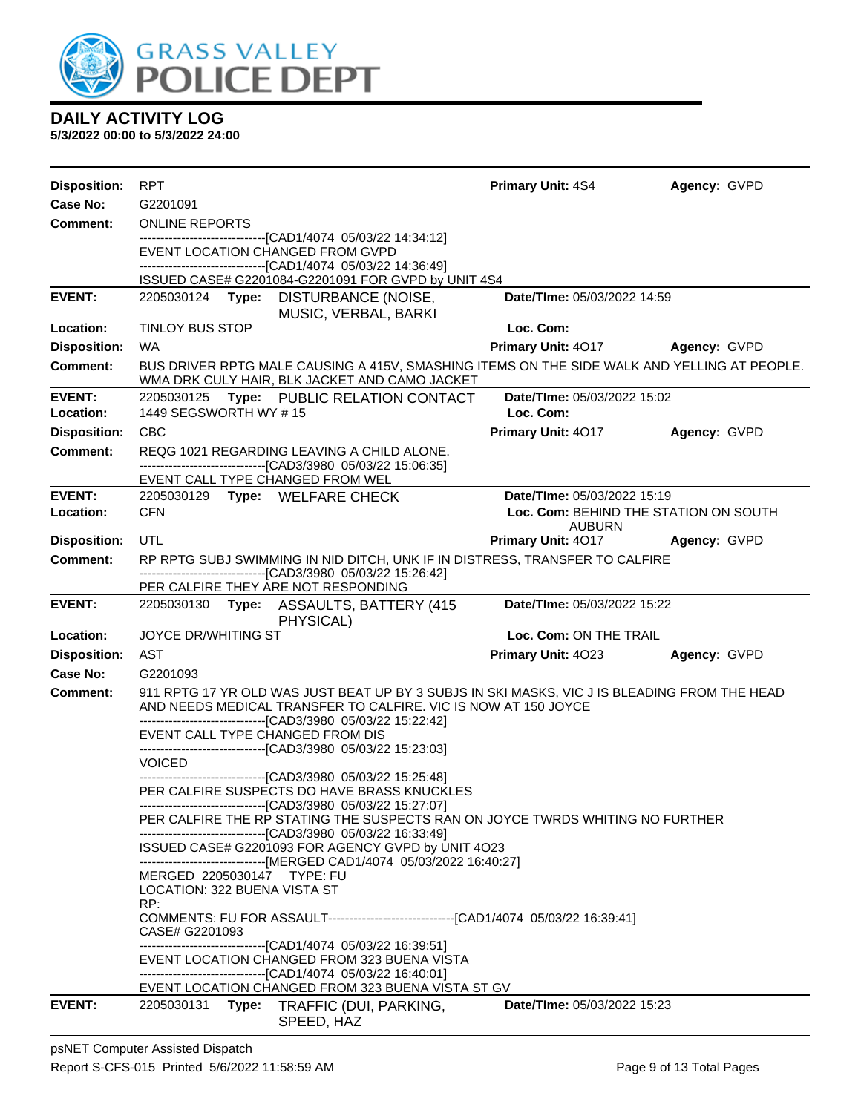

| <b>Disposition:</b> | <b>RPT</b>                                                                                                                                                                                                                      | <b>Primary Unit: 4S4</b>              | Agency: GVPD |
|---------------------|---------------------------------------------------------------------------------------------------------------------------------------------------------------------------------------------------------------------------------|---------------------------------------|--------------|
| Case No:            | G2201091                                                                                                                                                                                                                        |                                       |              |
| Comment:            | <b>ONLINE REPORTS</b>                                                                                                                                                                                                           |                                       |              |
|                     | ---------------------------------[CAD1/4074 05/03/22 14:34:12]<br>EVENT LOCATION CHANGED FROM GVPD<br>-------------------------------[CAD1/4074 05/03/22 14:36:49]                                                              |                                       |              |
|                     | ISSUED CASE# G2201084-G2201091 FOR GVPD by UNIT 4S4                                                                                                                                                                             |                                       |              |
| <b>EVENT:</b>       | 2205030124 Type: DISTURBANCE (NOISE,<br>MUSIC, VERBAL, BARKI                                                                                                                                                                    | Date/TIme: 05/03/2022 14:59           |              |
| Location:           | <b>TINLOY BUS STOP</b>                                                                                                                                                                                                          | Loc. Com:                             |              |
| <b>Disposition:</b> | <b>WA</b>                                                                                                                                                                                                                       | <b>Primary Unit: 4017</b>             | Agency: GVPD |
| Comment:            | BUS DRIVER RPTG MALE CAUSING A 415V, SMASHING ITEMS ON THE SIDE WALK AND YELLING AT PEOPLE.<br>WMA DRK CULY HAIR, BLK JACKET AND CAMO JACKET                                                                                    |                                       |              |
| <b>EVENT:</b>       | 2205030125 Type: PUBLIC RELATION CONTACT                                                                                                                                                                                        | Date/TIme: 05/03/2022 15:02           |              |
| Location:           | 1449 SEGSWORTH WY #15                                                                                                                                                                                                           | Loc. Com:                             |              |
| <b>Disposition:</b> | <b>CBC</b>                                                                                                                                                                                                                      | Primary Unit: 4017                    | Agency: GVPD |
| <b>Comment:</b>     | REQG 1021 REGARDING LEAVING A CHILD ALONE.<br>-------------------------------[CAD3/3980 05/03/22 15:06:35]                                                                                                                      |                                       |              |
| <b>EVENT:</b>       | EVENT CALL TYPE CHANGED FROM WEL<br>2205030129 Type: WELFARE CHECK                                                                                                                                                              | Date/TIme: 05/03/2022 15:19           |              |
| Location:           | <b>CFN</b>                                                                                                                                                                                                                      | Loc. Com: BEHIND THE STATION ON SOUTH |              |
|                     |                                                                                                                                                                                                                                 | <b>AUBURN</b>                         |              |
| <b>Disposition:</b> | UTL                                                                                                                                                                                                                             | <b>Primary Unit: 4017</b>             | Agency: GVPD |
| <b>Comment:</b>     | RP RPTG SUBJ SWIMMING IN NID DITCH, UNK IF IN DISTRESS, TRANSFER TO CALFIRE<br>-------------------------------[CAD3/3980 05/03/22 15:26:42]                                                                                     |                                       |              |
|                     | PER CALFIRE THEY ARE NOT RESPONDING                                                                                                                                                                                             |                                       |              |
| <b>EVENT:</b>       | 2205030130 Type: ASSAULTS, BATTERY (415<br>PHYSICAL)                                                                                                                                                                            | Date/TIme: 05/03/2022 15:22           |              |
| Location:           | <b>JOYCE DR/WHITING ST</b>                                                                                                                                                                                                      | Loc. Com: ON THE TRAIL                |              |
| <b>Disposition:</b> | AST                                                                                                                                                                                                                             | Primary Unit: 4023                    | Agency: GVPD |
| Case No:            | G2201093                                                                                                                                                                                                                        |                                       |              |
| Comment:            | 911 RPTG 17 YR OLD WAS JUST BEAT UP BY 3 SUBJS IN SKI MASKS, VIC J IS BLEADING FROM THE HEAD<br>AND NEEDS MEDICAL TRANSFER TO CALFIRE. VIC IS NOW AT 150 JOYCE<br>--------------------------------[CAD3/3980 05/03/22 15:22:42] |                                       |              |
|                     | EVENT CALL TYPE CHANGED FROM DIS<br>------------------------[CAD3/3980_05/03/22_15:23:03]                                                                                                                                       |                                       |              |
|                     | <b>VOICED</b>                                                                                                                                                                                                                   |                                       |              |
|                     | --------------------------------[CAD3/3980 05/03/22 15:25:48]<br>PER CALFIRE SUSPECTS DO HAVE BRASS KNUCKLES                                                                                                                    |                                       |              |
|                     | --------------------------[CAD3/3980 05/03/22 15:27:07]<br>PER CALFIRE THE RP STATING THE SUSPECTS RAN ON JOYCE TWRDS WHITING NO FURTHER<br>--------------------------------[CAD3/3980 05/03/22 16:33:49]                       |                                       |              |
|                     | ISSUED CASE# G2201093 FOR AGENCY GVPD by UNIT 4O23<br>------------------------------[MERGED CAD1/4074 05/03/2022 16:40:27]                                                                                                      |                                       |              |
|                     | MERGED 2205030147 TYPE: FU                                                                                                                                                                                                      |                                       |              |
|                     | LOCATION: 322 BUENA VISTA ST<br>RP:                                                                                                                                                                                             |                                       |              |
|                     | CASE# G2201093                                                                                                                                                                                                                  |                                       |              |
|                     | ---------------------------------[CAD1/4074 05/03/22 16:39:51]                                                                                                                                                                  |                                       |              |
|                     | EVENT LOCATION CHANGED FROM 323 BUENA VISTA<br>-------------------------------[CAD1/4074 05/03/22 16:40:01]                                                                                                                     |                                       |              |
|                     | EVENT LOCATION CHANGED FROM 323 BUENA VISTA ST GV                                                                                                                                                                               |                                       |              |
| <b>EVENT:</b>       | 2205030131<br>Type: TRAFFIC (DUI, PARKING,<br>SPEED, HAZ                                                                                                                                                                        | <b>Date/TIme: 05/03/2022 15:23</b>    |              |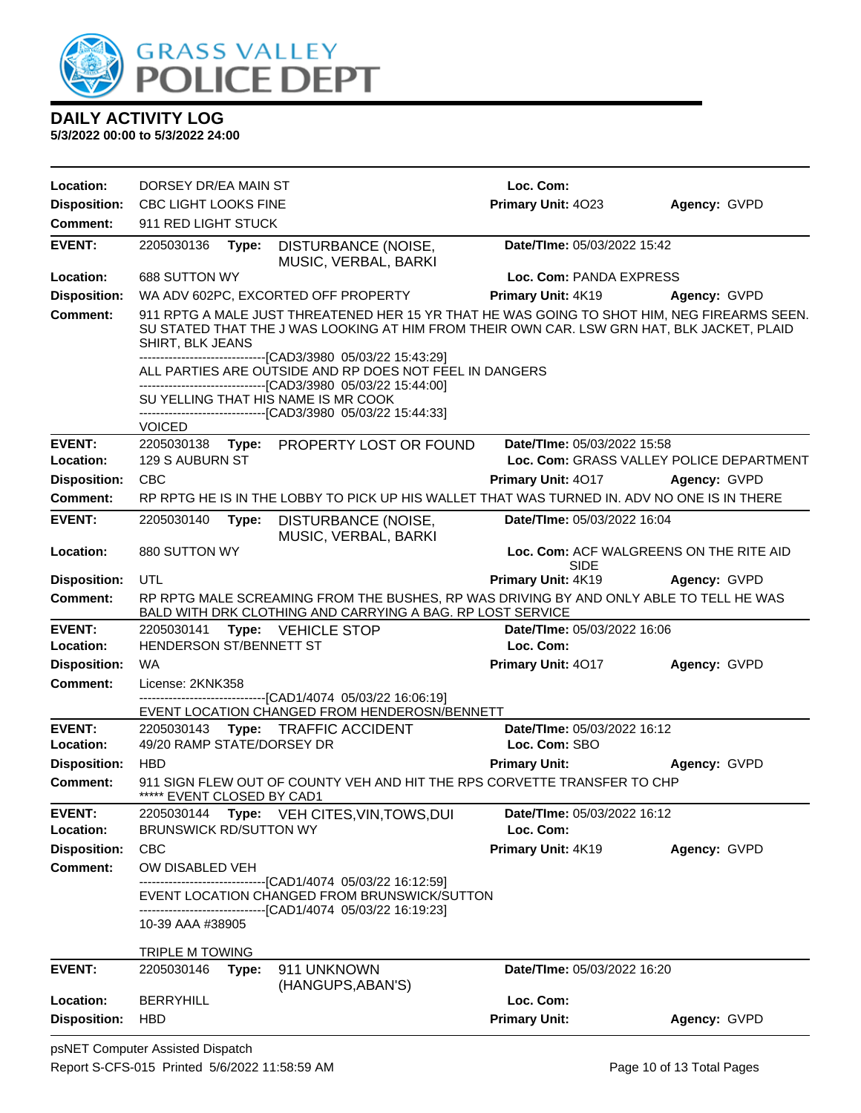

| Loc. Com:<br>Location:<br>DORSEY DR/EA MAIN ST<br>Primary Unit: 4023<br><b>Disposition:</b><br>CBC LIGHT LOOKS FINE<br>Agency: GVPD<br><b>Comment:</b><br>911 RED LIGHT STUCK<br><b>EVENT:</b><br>Date/TIme: 05/03/2022 15:42<br>2205030136<br>Type:<br>DISTURBANCE (NOISE,<br>MUSIC, VERBAL, BARKI<br>Location:<br>688 SUTTON WY<br>Loc. Com: PANDA EXPRESS<br><b>Disposition:</b><br>Primary Unit: 4K19<br>WA ADV 602PC, EXCORTED OFF PROPERTY<br>Agency: GVPD<br><b>Comment:</b><br>911 RPTG A MALE JUST THREATENED HER 15 YR THAT HE WAS GOING TO SHOT HIM, NEG FIREARMS SEEN.<br>SU STATED THAT THE J WAS LOOKING AT HIM FROM THEIR OWN CAR. LSW GRN HAT, BLK JACKET, PLAID<br>SHIRT, BLK JEANS<br>------------------------------[CAD3/3980_05/03/22 15:43:29]<br>ALL PARTIES ARE OUTSIDE AND RP DOES NOT FEEL IN DANGERS<br>---------------------------------[CAD3/3980 05/03/22 15:44:00]<br>SU YELLING THAT HIS NAME IS MR COOK<br>-------------------------------[CAD3/3980_05/03/22_15:44:33]<br><b>VOICED</b><br><b>EVENT:</b><br>2205030138<br>Date/TIme: 05/03/2022 15:58<br>Type:<br>PROPERTY LOST OR FOUND<br>Location:<br>129 S AUBURN ST<br>Loc. Com: GRASS VALLEY POLICE DEPARTMENT<br><b>Disposition:</b><br><b>CBC</b><br>Primary Unit: 4017<br>Agency: GVPD<br><b>Comment:</b><br>RP RPTG HE IS IN THE LOBBY TO PICK UP HIS WALLET THAT WAS TURNED IN. ADV NO ONE IS IN THERE<br><b>EVENT:</b><br>2205030140<br>Date/TIme: 05/03/2022 16:04<br>Type:<br>DISTURBANCE (NOISE,<br>MUSIC, VERBAL, BARKI<br>880 SUTTON WY<br>Loc. Com: ACF WALGREENS ON THE RITE AID<br>Location:<br><b>SIDE</b><br><b>UTL</b><br>Primary Unit: 4K19<br><b>Disposition:</b><br>Agency: GVPD<br>RP RPTG MALE SCREAMING FROM THE BUSHES, RP WAS DRIVING BY AND ONLY ABLE TO TELL HE WAS<br><b>Comment:</b><br>BALD WITH DRK CLOTHING AND CARRYING A BAG. RP LOST SERVICE<br><b>EVENT:</b><br>Type: VEHICLE STOP<br>Date/TIme: 05/03/2022 16:06<br>2205030141<br>HENDERSON ST/BENNETT ST<br>Location:<br>Loc. Com:<br><b>WA</b><br>Primary Unit: 4017<br>Agency: GVPD<br><b>Disposition:</b><br><b>Comment:</b><br>License: 2KNK358<br>-------[CAD1/4074 05/03/22 16:06:19]<br>EVENT LOCATION CHANGED FROM HENDEROSN/BENNETT<br><b>EVENT:</b><br>Date/TIme: 05/03/2022 16:12<br>2205030143<br><b>Type: TRAFFIC ACCIDENT</b><br>Location:<br>49/20 RAMP STATE/DORSEY DR<br>Loc. Com: SBO<br><b>Disposition:</b><br><b>HBD</b><br><b>Primary Unit:</b><br>Agency: GVPD<br><b>Comment:</b><br>911 SIGN FLEW OUT OF COUNTY VEH AND HIT THE RPS CORVETTE TRANSFER TO CHP<br>***** EVENT CLOSED BY CAD1<br><b>EVENT:</b><br>2205030144<br>Date/TIme: 05/03/2022 16:12<br>Type:<br>VEH CITES, VIN, TOWS, DUI<br><b>BRUNSWICK RD/SUTTON WY</b><br>Loc. Com:<br>Location:<br><b>CBC</b><br>Primary Unit: 4K19<br><b>Disposition:</b><br>Agency: GVPD<br><b>Comment:</b><br>OW DISABLED VEH<br>---------------------------------[CAD1/4074 05/03/22 16:12:59]<br>EVENT LOCATION CHANGED FROM BRUNSWICK/SUTTON<br>----------------------------[CAD1/4074_05/03/22 16:19:23]<br>10-39 AAA #38905<br>TRIPLE M TOWING<br><b>EVENT:</b><br>2205030146<br>Date/TIme: 05/03/2022 16:20<br>Type:<br>911 UNKNOWN<br>(HANGUPS, ABAN'S)<br>Loc. Com:<br>Location:<br><b>BERRYHILL</b><br><b>Primary Unit:</b><br><b>Disposition:</b><br><b>HBD</b><br>Agency: GVPD |  |  |  |  |
|--------------------------------------------------------------------------------------------------------------------------------------------------------------------------------------------------------------------------------------------------------------------------------------------------------------------------------------------------------------------------------------------------------------------------------------------------------------------------------------------------------------------------------------------------------------------------------------------------------------------------------------------------------------------------------------------------------------------------------------------------------------------------------------------------------------------------------------------------------------------------------------------------------------------------------------------------------------------------------------------------------------------------------------------------------------------------------------------------------------------------------------------------------------------------------------------------------------------------------------------------------------------------------------------------------------------------------------------------------------------------------------------------------------------------------------------------------------------------------------------------------------------------------------------------------------------------------------------------------------------------------------------------------------------------------------------------------------------------------------------------------------------------------------------------------------------------------------------------------------------------------------------------------------------------------------------------------------------------------------------------------------------------------------------------------------------------------------------------------------------------------------------------------------------------------------------------------------------------------------------------------------------------------------------------------------------------------------------------------------------------------------------------------------------------------------------------------------------------------------------------------------------------------------------------------------------------------------------------------------------------------------------------------------------------------------------------------------------------------------------------------------------------------------------------------------------------------------------------------------------------------------------------------------------------------------------------------------------------------------------------------------------------------------------------------------------------------------------------------------------------------------------------------------------------------------------------------------------------------------------------------------------------------------------------------------------------------------------|--|--|--|--|
|                                                                                                                                                                                                                                                                                                                                                                                                                                                                                                                                                                                                                                                                                                                                                                                                                                                                                                                                                                                                                                                                                                                                                                                                                                                                                                                                                                                                                                                                                                                                                                                                                                                                                                                                                                                                                                                                                                                                                                                                                                                                                                                                                                                                                                                                                                                                                                                                                                                                                                                                                                                                                                                                                                                                                                                                                                                                                                                                                                                                                                                                                                                                                                                                                                                                                                                                            |  |  |  |  |
|                                                                                                                                                                                                                                                                                                                                                                                                                                                                                                                                                                                                                                                                                                                                                                                                                                                                                                                                                                                                                                                                                                                                                                                                                                                                                                                                                                                                                                                                                                                                                                                                                                                                                                                                                                                                                                                                                                                                                                                                                                                                                                                                                                                                                                                                                                                                                                                                                                                                                                                                                                                                                                                                                                                                                                                                                                                                                                                                                                                                                                                                                                                                                                                                                                                                                                                                            |  |  |  |  |
|                                                                                                                                                                                                                                                                                                                                                                                                                                                                                                                                                                                                                                                                                                                                                                                                                                                                                                                                                                                                                                                                                                                                                                                                                                                                                                                                                                                                                                                                                                                                                                                                                                                                                                                                                                                                                                                                                                                                                                                                                                                                                                                                                                                                                                                                                                                                                                                                                                                                                                                                                                                                                                                                                                                                                                                                                                                                                                                                                                                                                                                                                                                                                                                                                                                                                                                                            |  |  |  |  |
|                                                                                                                                                                                                                                                                                                                                                                                                                                                                                                                                                                                                                                                                                                                                                                                                                                                                                                                                                                                                                                                                                                                                                                                                                                                                                                                                                                                                                                                                                                                                                                                                                                                                                                                                                                                                                                                                                                                                                                                                                                                                                                                                                                                                                                                                                                                                                                                                                                                                                                                                                                                                                                                                                                                                                                                                                                                                                                                                                                                                                                                                                                                                                                                                                                                                                                                                            |  |  |  |  |
|                                                                                                                                                                                                                                                                                                                                                                                                                                                                                                                                                                                                                                                                                                                                                                                                                                                                                                                                                                                                                                                                                                                                                                                                                                                                                                                                                                                                                                                                                                                                                                                                                                                                                                                                                                                                                                                                                                                                                                                                                                                                                                                                                                                                                                                                                                                                                                                                                                                                                                                                                                                                                                                                                                                                                                                                                                                                                                                                                                                                                                                                                                                                                                                                                                                                                                                                            |  |  |  |  |
|                                                                                                                                                                                                                                                                                                                                                                                                                                                                                                                                                                                                                                                                                                                                                                                                                                                                                                                                                                                                                                                                                                                                                                                                                                                                                                                                                                                                                                                                                                                                                                                                                                                                                                                                                                                                                                                                                                                                                                                                                                                                                                                                                                                                                                                                                                                                                                                                                                                                                                                                                                                                                                                                                                                                                                                                                                                                                                                                                                                                                                                                                                                                                                                                                                                                                                                                            |  |  |  |  |
|                                                                                                                                                                                                                                                                                                                                                                                                                                                                                                                                                                                                                                                                                                                                                                                                                                                                                                                                                                                                                                                                                                                                                                                                                                                                                                                                                                                                                                                                                                                                                                                                                                                                                                                                                                                                                                                                                                                                                                                                                                                                                                                                                                                                                                                                                                                                                                                                                                                                                                                                                                                                                                                                                                                                                                                                                                                                                                                                                                                                                                                                                                                                                                                                                                                                                                                                            |  |  |  |  |
|                                                                                                                                                                                                                                                                                                                                                                                                                                                                                                                                                                                                                                                                                                                                                                                                                                                                                                                                                                                                                                                                                                                                                                                                                                                                                                                                                                                                                                                                                                                                                                                                                                                                                                                                                                                                                                                                                                                                                                                                                                                                                                                                                                                                                                                                                                                                                                                                                                                                                                                                                                                                                                                                                                                                                                                                                                                                                                                                                                                                                                                                                                                                                                                                                                                                                                                                            |  |  |  |  |
|                                                                                                                                                                                                                                                                                                                                                                                                                                                                                                                                                                                                                                                                                                                                                                                                                                                                                                                                                                                                                                                                                                                                                                                                                                                                                                                                                                                                                                                                                                                                                                                                                                                                                                                                                                                                                                                                                                                                                                                                                                                                                                                                                                                                                                                                                                                                                                                                                                                                                                                                                                                                                                                                                                                                                                                                                                                                                                                                                                                                                                                                                                                                                                                                                                                                                                                                            |  |  |  |  |
|                                                                                                                                                                                                                                                                                                                                                                                                                                                                                                                                                                                                                                                                                                                                                                                                                                                                                                                                                                                                                                                                                                                                                                                                                                                                                                                                                                                                                                                                                                                                                                                                                                                                                                                                                                                                                                                                                                                                                                                                                                                                                                                                                                                                                                                                                                                                                                                                                                                                                                                                                                                                                                                                                                                                                                                                                                                                                                                                                                                                                                                                                                                                                                                                                                                                                                                                            |  |  |  |  |
|                                                                                                                                                                                                                                                                                                                                                                                                                                                                                                                                                                                                                                                                                                                                                                                                                                                                                                                                                                                                                                                                                                                                                                                                                                                                                                                                                                                                                                                                                                                                                                                                                                                                                                                                                                                                                                                                                                                                                                                                                                                                                                                                                                                                                                                                                                                                                                                                                                                                                                                                                                                                                                                                                                                                                                                                                                                                                                                                                                                                                                                                                                                                                                                                                                                                                                                                            |  |  |  |  |
|                                                                                                                                                                                                                                                                                                                                                                                                                                                                                                                                                                                                                                                                                                                                                                                                                                                                                                                                                                                                                                                                                                                                                                                                                                                                                                                                                                                                                                                                                                                                                                                                                                                                                                                                                                                                                                                                                                                                                                                                                                                                                                                                                                                                                                                                                                                                                                                                                                                                                                                                                                                                                                                                                                                                                                                                                                                                                                                                                                                                                                                                                                                                                                                                                                                                                                                                            |  |  |  |  |
|                                                                                                                                                                                                                                                                                                                                                                                                                                                                                                                                                                                                                                                                                                                                                                                                                                                                                                                                                                                                                                                                                                                                                                                                                                                                                                                                                                                                                                                                                                                                                                                                                                                                                                                                                                                                                                                                                                                                                                                                                                                                                                                                                                                                                                                                                                                                                                                                                                                                                                                                                                                                                                                                                                                                                                                                                                                                                                                                                                                                                                                                                                                                                                                                                                                                                                                                            |  |  |  |  |
|                                                                                                                                                                                                                                                                                                                                                                                                                                                                                                                                                                                                                                                                                                                                                                                                                                                                                                                                                                                                                                                                                                                                                                                                                                                                                                                                                                                                                                                                                                                                                                                                                                                                                                                                                                                                                                                                                                                                                                                                                                                                                                                                                                                                                                                                                                                                                                                                                                                                                                                                                                                                                                                                                                                                                                                                                                                                                                                                                                                                                                                                                                                                                                                                                                                                                                                                            |  |  |  |  |
|                                                                                                                                                                                                                                                                                                                                                                                                                                                                                                                                                                                                                                                                                                                                                                                                                                                                                                                                                                                                                                                                                                                                                                                                                                                                                                                                                                                                                                                                                                                                                                                                                                                                                                                                                                                                                                                                                                                                                                                                                                                                                                                                                                                                                                                                                                                                                                                                                                                                                                                                                                                                                                                                                                                                                                                                                                                                                                                                                                                                                                                                                                                                                                                                                                                                                                                                            |  |  |  |  |
|                                                                                                                                                                                                                                                                                                                                                                                                                                                                                                                                                                                                                                                                                                                                                                                                                                                                                                                                                                                                                                                                                                                                                                                                                                                                                                                                                                                                                                                                                                                                                                                                                                                                                                                                                                                                                                                                                                                                                                                                                                                                                                                                                                                                                                                                                                                                                                                                                                                                                                                                                                                                                                                                                                                                                                                                                                                                                                                                                                                                                                                                                                                                                                                                                                                                                                                                            |  |  |  |  |
|                                                                                                                                                                                                                                                                                                                                                                                                                                                                                                                                                                                                                                                                                                                                                                                                                                                                                                                                                                                                                                                                                                                                                                                                                                                                                                                                                                                                                                                                                                                                                                                                                                                                                                                                                                                                                                                                                                                                                                                                                                                                                                                                                                                                                                                                                                                                                                                                                                                                                                                                                                                                                                                                                                                                                                                                                                                                                                                                                                                                                                                                                                                                                                                                                                                                                                                                            |  |  |  |  |
|                                                                                                                                                                                                                                                                                                                                                                                                                                                                                                                                                                                                                                                                                                                                                                                                                                                                                                                                                                                                                                                                                                                                                                                                                                                                                                                                                                                                                                                                                                                                                                                                                                                                                                                                                                                                                                                                                                                                                                                                                                                                                                                                                                                                                                                                                                                                                                                                                                                                                                                                                                                                                                                                                                                                                                                                                                                                                                                                                                                                                                                                                                                                                                                                                                                                                                                                            |  |  |  |  |
|                                                                                                                                                                                                                                                                                                                                                                                                                                                                                                                                                                                                                                                                                                                                                                                                                                                                                                                                                                                                                                                                                                                                                                                                                                                                                                                                                                                                                                                                                                                                                                                                                                                                                                                                                                                                                                                                                                                                                                                                                                                                                                                                                                                                                                                                                                                                                                                                                                                                                                                                                                                                                                                                                                                                                                                                                                                                                                                                                                                                                                                                                                                                                                                                                                                                                                                                            |  |  |  |  |
|                                                                                                                                                                                                                                                                                                                                                                                                                                                                                                                                                                                                                                                                                                                                                                                                                                                                                                                                                                                                                                                                                                                                                                                                                                                                                                                                                                                                                                                                                                                                                                                                                                                                                                                                                                                                                                                                                                                                                                                                                                                                                                                                                                                                                                                                                                                                                                                                                                                                                                                                                                                                                                                                                                                                                                                                                                                                                                                                                                                                                                                                                                                                                                                                                                                                                                                                            |  |  |  |  |
|                                                                                                                                                                                                                                                                                                                                                                                                                                                                                                                                                                                                                                                                                                                                                                                                                                                                                                                                                                                                                                                                                                                                                                                                                                                                                                                                                                                                                                                                                                                                                                                                                                                                                                                                                                                                                                                                                                                                                                                                                                                                                                                                                                                                                                                                                                                                                                                                                                                                                                                                                                                                                                                                                                                                                                                                                                                                                                                                                                                                                                                                                                                                                                                                                                                                                                                                            |  |  |  |  |
|                                                                                                                                                                                                                                                                                                                                                                                                                                                                                                                                                                                                                                                                                                                                                                                                                                                                                                                                                                                                                                                                                                                                                                                                                                                                                                                                                                                                                                                                                                                                                                                                                                                                                                                                                                                                                                                                                                                                                                                                                                                                                                                                                                                                                                                                                                                                                                                                                                                                                                                                                                                                                                                                                                                                                                                                                                                                                                                                                                                                                                                                                                                                                                                                                                                                                                                                            |  |  |  |  |
|                                                                                                                                                                                                                                                                                                                                                                                                                                                                                                                                                                                                                                                                                                                                                                                                                                                                                                                                                                                                                                                                                                                                                                                                                                                                                                                                                                                                                                                                                                                                                                                                                                                                                                                                                                                                                                                                                                                                                                                                                                                                                                                                                                                                                                                                                                                                                                                                                                                                                                                                                                                                                                                                                                                                                                                                                                                                                                                                                                                                                                                                                                                                                                                                                                                                                                                                            |  |  |  |  |
|                                                                                                                                                                                                                                                                                                                                                                                                                                                                                                                                                                                                                                                                                                                                                                                                                                                                                                                                                                                                                                                                                                                                                                                                                                                                                                                                                                                                                                                                                                                                                                                                                                                                                                                                                                                                                                                                                                                                                                                                                                                                                                                                                                                                                                                                                                                                                                                                                                                                                                                                                                                                                                                                                                                                                                                                                                                                                                                                                                                                                                                                                                                                                                                                                                                                                                                                            |  |  |  |  |
|                                                                                                                                                                                                                                                                                                                                                                                                                                                                                                                                                                                                                                                                                                                                                                                                                                                                                                                                                                                                                                                                                                                                                                                                                                                                                                                                                                                                                                                                                                                                                                                                                                                                                                                                                                                                                                                                                                                                                                                                                                                                                                                                                                                                                                                                                                                                                                                                                                                                                                                                                                                                                                                                                                                                                                                                                                                                                                                                                                                                                                                                                                                                                                                                                                                                                                                                            |  |  |  |  |
|                                                                                                                                                                                                                                                                                                                                                                                                                                                                                                                                                                                                                                                                                                                                                                                                                                                                                                                                                                                                                                                                                                                                                                                                                                                                                                                                                                                                                                                                                                                                                                                                                                                                                                                                                                                                                                                                                                                                                                                                                                                                                                                                                                                                                                                                                                                                                                                                                                                                                                                                                                                                                                                                                                                                                                                                                                                                                                                                                                                                                                                                                                                                                                                                                                                                                                                                            |  |  |  |  |
|                                                                                                                                                                                                                                                                                                                                                                                                                                                                                                                                                                                                                                                                                                                                                                                                                                                                                                                                                                                                                                                                                                                                                                                                                                                                                                                                                                                                                                                                                                                                                                                                                                                                                                                                                                                                                                                                                                                                                                                                                                                                                                                                                                                                                                                                                                                                                                                                                                                                                                                                                                                                                                                                                                                                                                                                                                                                                                                                                                                                                                                                                                                                                                                                                                                                                                                                            |  |  |  |  |
|                                                                                                                                                                                                                                                                                                                                                                                                                                                                                                                                                                                                                                                                                                                                                                                                                                                                                                                                                                                                                                                                                                                                                                                                                                                                                                                                                                                                                                                                                                                                                                                                                                                                                                                                                                                                                                                                                                                                                                                                                                                                                                                                                                                                                                                                                                                                                                                                                                                                                                                                                                                                                                                                                                                                                                                                                                                                                                                                                                                                                                                                                                                                                                                                                                                                                                                                            |  |  |  |  |
|                                                                                                                                                                                                                                                                                                                                                                                                                                                                                                                                                                                                                                                                                                                                                                                                                                                                                                                                                                                                                                                                                                                                                                                                                                                                                                                                                                                                                                                                                                                                                                                                                                                                                                                                                                                                                                                                                                                                                                                                                                                                                                                                                                                                                                                                                                                                                                                                                                                                                                                                                                                                                                                                                                                                                                                                                                                                                                                                                                                                                                                                                                                                                                                                                                                                                                                                            |  |  |  |  |
|                                                                                                                                                                                                                                                                                                                                                                                                                                                                                                                                                                                                                                                                                                                                                                                                                                                                                                                                                                                                                                                                                                                                                                                                                                                                                                                                                                                                                                                                                                                                                                                                                                                                                                                                                                                                                                                                                                                                                                                                                                                                                                                                                                                                                                                                                                                                                                                                                                                                                                                                                                                                                                                                                                                                                                                                                                                                                                                                                                                                                                                                                                                                                                                                                                                                                                                                            |  |  |  |  |
|                                                                                                                                                                                                                                                                                                                                                                                                                                                                                                                                                                                                                                                                                                                                                                                                                                                                                                                                                                                                                                                                                                                                                                                                                                                                                                                                                                                                                                                                                                                                                                                                                                                                                                                                                                                                                                                                                                                                                                                                                                                                                                                                                                                                                                                                                                                                                                                                                                                                                                                                                                                                                                                                                                                                                                                                                                                                                                                                                                                                                                                                                                                                                                                                                                                                                                                                            |  |  |  |  |
|                                                                                                                                                                                                                                                                                                                                                                                                                                                                                                                                                                                                                                                                                                                                                                                                                                                                                                                                                                                                                                                                                                                                                                                                                                                                                                                                                                                                                                                                                                                                                                                                                                                                                                                                                                                                                                                                                                                                                                                                                                                                                                                                                                                                                                                                                                                                                                                                                                                                                                                                                                                                                                                                                                                                                                                                                                                                                                                                                                                                                                                                                                                                                                                                                                                                                                                                            |  |  |  |  |
|                                                                                                                                                                                                                                                                                                                                                                                                                                                                                                                                                                                                                                                                                                                                                                                                                                                                                                                                                                                                                                                                                                                                                                                                                                                                                                                                                                                                                                                                                                                                                                                                                                                                                                                                                                                                                                                                                                                                                                                                                                                                                                                                                                                                                                                                                                                                                                                                                                                                                                                                                                                                                                                                                                                                                                                                                                                                                                                                                                                                                                                                                                                                                                                                                                                                                                                                            |  |  |  |  |
|                                                                                                                                                                                                                                                                                                                                                                                                                                                                                                                                                                                                                                                                                                                                                                                                                                                                                                                                                                                                                                                                                                                                                                                                                                                                                                                                                                                                                                                                                                                                                                                                                                                                                                                                                                                                                                                                                                                                                                                                                                                                                                                                                                                                                                                                                                                                                                                                                                                                                                                                                                                                                                                                                                                                                                                                                                                                                                                                                                                                                                                                                                                                                                                                                                                                                                                                            |  |  |  |  |
|                                                                                                                                                                                                                                                                                                                                                                                                                                                                                                                                                                                                                                                                                                                                                                                                                                                                                                                                                                                                                                                                                                                                                                                                                                                                                                                                                                                                                                                                                                                                                                                                                                                                                                                                                                                                                                                                                                                                                                                                                                                                                                                                                                                                                                                                                                                                                                                                                                                                                                                                                                                                                                                                                                                                                                                                                                                                                                                                                                                                                                                                                                                                                                                                                                                                                                                                            |  |  |  |  |
|                                                                                                                                                                                                                                                                                                                                                                                                                                                                                                                                                                                                                                                                                                                                                                                                                                                                                                                                                                                                                                                                                                                                                                                                                                                                                                                                                                                                                                                                                                                                                                                                                                                                                                                                                                                                                                                                                                                                                                                                                                                                                                                                                                                                                                                                                                                                                                                                                                                                                                                                                                                                                                                                                                                                                                                                                                                                                                                                                                                                                                                                                                                                                                                                                                                                                                                                            |  |  |  |  |
|                                                                                                                                                                                                                                                                                                                                                                                                                                                                                                                                                                                                                                                                                                                                                                                                                                                                                                                                                                                                                                                                                                                                                                                                                                                                                                                                                                                                                                                                                                                                                                                                                                                                                                                                                                                                                                                                                                                                                                                                                                                                                                                                                                                                                                                                                                                                                                                                                                                                                                                                                                                                                                                                                                                                                                                                                                                                                                                                                                                                                                                                                                                                                                                                                                                                                                                                            |  |  |  |  |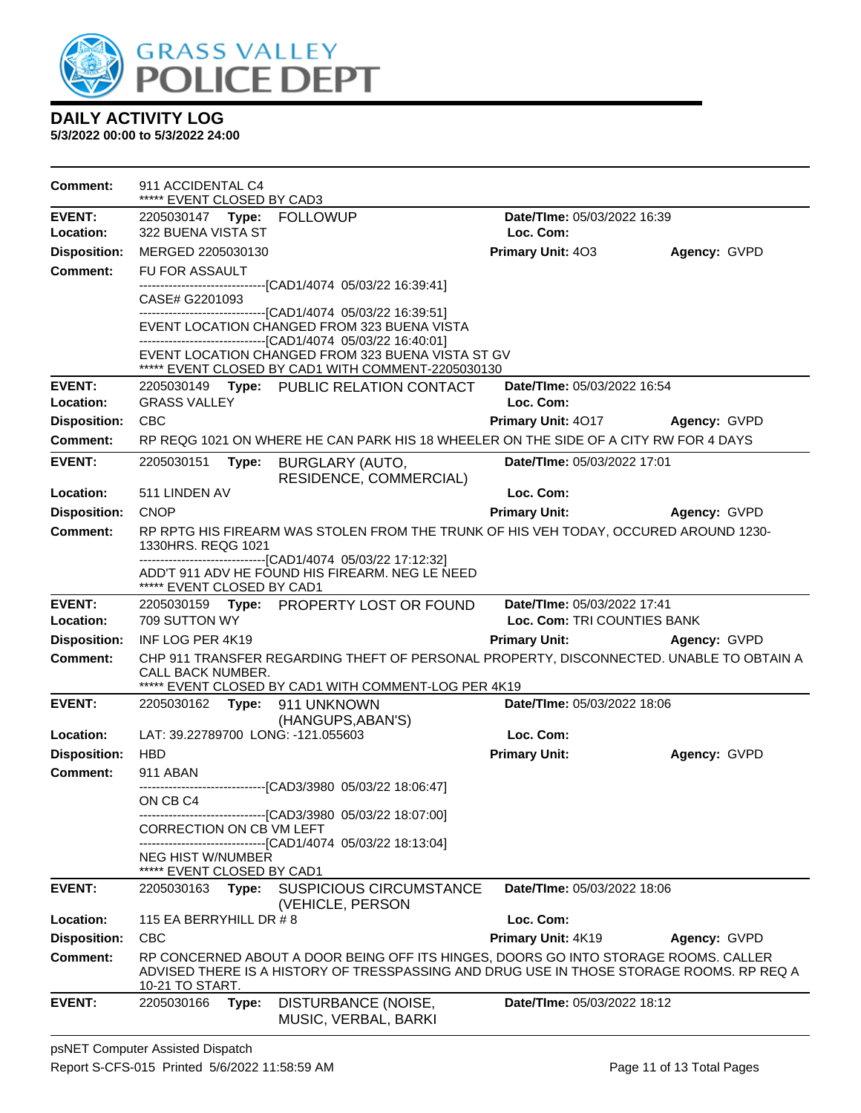

| <b>Comment:</b>     | 911 ACCIDENTAL C4<br>***** EVENT CLOSED BY CAD3 |                                                                                                                                                                                 |                             |              |
|---------------------|-------------------------------------------------|---------------------------------------------------------------------------------------------------------------------------------------------------------------------------------|-----------------------------|--------------|
| <b>EVENT:</b>       |                                                 |                                                                                                                                                                                 | Date/TIme: 05/03/2022 16:39 |              |
| Location:           | 322 BUENA VISTA ST                              |                                                                                                                                                                                 | Loc. Com:                   |              |
| <b>Disposition:</b> | MERGED 2205030130                               |                                                                                                                                                                                 | Primary Unit: 403           | Agency: GVPD |
| <b>Comment:</b>     | FU FOR ASSAULT                                  | -------------------------[CAD1/4074_05/03/22 16:39:41]                                                                                                                          |                             |              |
|                     | CASE# G2201093                                  | -----------------------------[CAD1/4074_05/03/22_16:39:51]                                                                                                                      |                             |              |
|                     |                                                 | EVENT LOCATION CHANGED FROM 323 BUENA VISTA<br>-------------------------------[CAD1/4074 05/03/22 16:40:01]                                                                     |                             |              |
|                     |                                                 | EVENT LOCATION CHANGED FROM 323 BUENA VISTA ST GV<br>***** EVENT CLOSED BY CAD1 WITH COMMENT-2205030130                                                                         |                             |              |
| <b>EVENT:</b>       |                                                 | 2205030149 Type: PUBLIC RELATION CONTACT                                                                                                                                        | Date/TIme: 05/03/2022 16:54 |              |
| Location:           | <b>GRASS VALLEY</b>                             |                                                                                                                                                                                 | Loc. Com:                   |              |
| <b>Disposition:</b> | <b>CBC</b>                                      |                                                                                                                                                                                 | Primary Unit: 4017          | Agency: GVPD |
| <b>Comment:</b>     |                                                 | RP REQG 1021 ON WHERE HE CAN PARK HIS 18 WHEELER ON THE SIDE OF A CITY RW FOR 4 DAYS                                                                                            |                             |              |
| <b>EVENT:</b>       | 2205030151<br>Type:                             | BURGLARY (AUTO,<br>RESIDENCE, COMMERCIAL)                                                                                                                                       | Date/TIme: 05/03/2022 17:01 |              |
| Location:           | 511 LINDEN AV                                   |                                                                                                                                                                                 | Loc. Com:                   |              |
| <b>Disposition:</b> | <b>CNOP</b>                                     |                                                                                                                                                                                 | <b>Primary Unit:</b>        | Agency: GVPD |
| <b>Comment:</b>     | 1330HRS. REQG 1021                              | RP RPTG HIS FIREARM WAS STOLEN FROM THE TRUNK OF HIS VEH TODAY, OCCURED AROUND 1230-                                                                                            |                             |              |
|                     | ***** EVENT CLOSED BY CAD1                      | -------------------------------[CAD1/4074 05/03/22 17:12:32]<br>ADD'T 911 ADV HE FOUND HIS FIREARM. NEG LE NEED                                                                 |                             |              |
| <b>EVENT:</b>       |                                                 | 2205030159 Type: PROPERTY LOST OR FOUND                                                                                                                                         | Date/TIme: 05/03/2022 17:41 |              |
| Location:           | 709 SUTTON WY                                   |                                                                                                                                                                                 | Loc. Com: TRI COUNTIES BANK |              |
| <b>Disposition:</b> | INF LOG PER 4K19                                |                                                                                                                                                                                 | <b>Primary Unit:</b>        | Agency: GVPD |
| <b>Comment:</b>     | CALL BACK NUMBER.                               | CHP 911 TRANSFER REGARDING THEFT OF PERSONAL PROPERTY, DISCONNECTED. UNABLE TO OBTAIN A<br>***** EVENT CLOSED BY CAD1 WITH COMMENT-LOG PER 4K19                                 |                             |              |
| <b>EVENT:</b>       | 2205030162 <b>Type:</b>                         | 911 UNKNOWN                                                                                                                                                                     | Date/TIme: 05/03/2022 18:06 |              |
|                     |                                                 | (HANGUPS, ABAN'S)                                                                                                                                                               |                             |              |
| Location:           | LAT: 39.22789700 LONG: -121.055603              |                                                                                                                                                                                 | Loc. Com:                   |              |
| <b>Disposition:</b> | <b>HBD</b>                                      |                                                                                                                                                                                 | <b>Primary Unit:</b>        | Agency: GVPD |
| <b>Comment:</b>     | 911 ABAN                                        | -------------------------------[CAD3/3980_05/03/22 18:06:47]                                                                                                                    |                             |              |
|                     | ON CB C4                                        |                                                                                                                                                                                 |                             |              |
|                     | CORRECTION ON CB VM LEFT                        | -------------------------------[CAD3/3980 05/03/22 18:07:00]<br>------------------------[CAD1/4074_05/03/22 18:13:04]                                                           |                             |              |
|                     | NEG HIST W/NUMBER<br>***** EVENT CLOSED BY CAD1 |                                                                                                                                                                                 |                             |              |
| <b>EVENT:</b>       | Type:<br>2205030163                             | <b>SUSPICIOUS CIRCUMSTANCE</b><br>(VEHICLE, PERSON                                                                                                                              | Date/TIme: 05/03/2022 18:06 |              |
| Location:           | 115 EA BERRYHILL DR #8                          |                                                                                                                                                                                 | Loc. Com:                   |              |
| <b>Disposition:</b> | <b>CBC</b>                                      |                                                                                                                                                                                 | Primary Unit: 4K19          | Agency: GVPD |
| Comment:            | 10-21 TO START.                                 | RP CONCERNED ABOUT A DOOR BEING OFF ITS HINGES, DOORS GO INTO STORAGE ROOMS. CALLER<br>ADVISED THERE IS A HISTORY OF TRESSPASSING AND DRUG USE IN THOSE STORAGE ROOMS. RP REQ A |                             |              |
| <b>EVENT:</b>       | 2205030166<br>Type:                             | DISTURBANCE (NOISE,<br>MUSIC, VERBAL, BARKI                                                                                                                                     | Date/TIme: 05/03/2022 18:12 |              |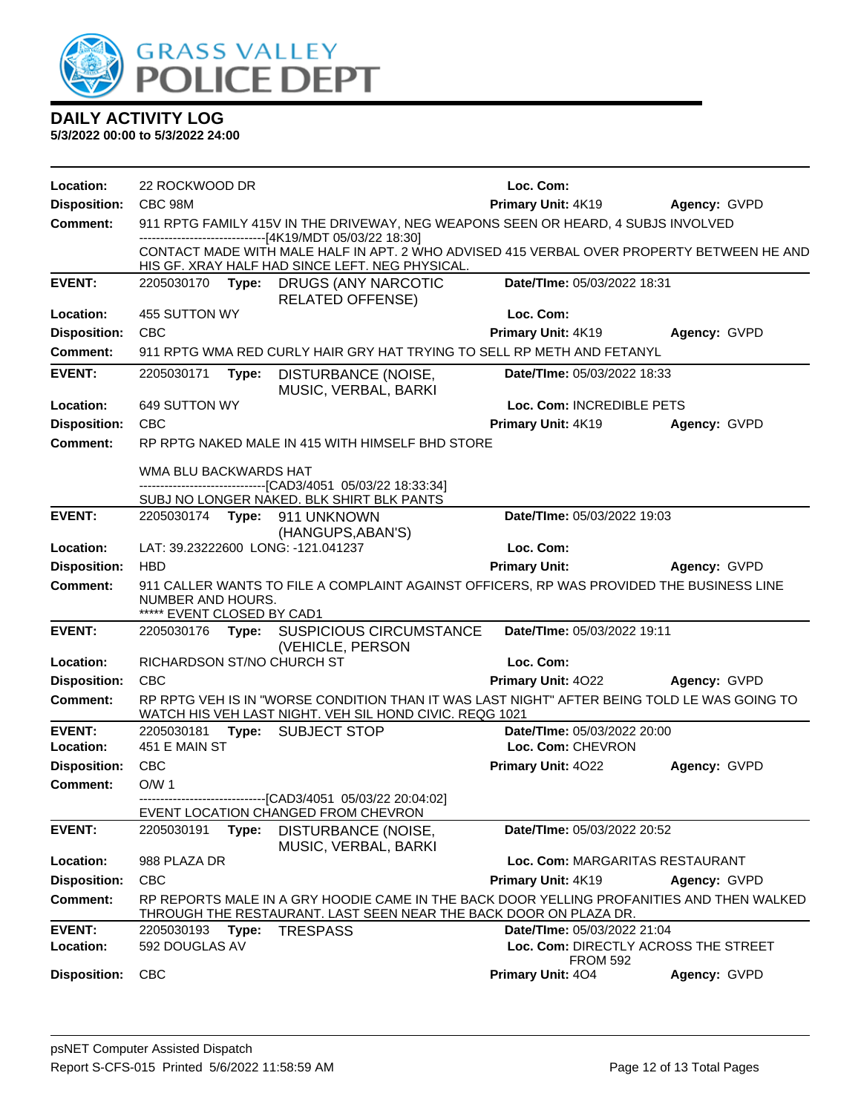

| Location:           | 22 ROCKWOOD DR                                  |       |                                                                                                                                                                | Loc. Com:                            |              |
|---------------------|-------------------------------------------------|-------|----------------------------------------------------------------------------------------------------------------------------------------------------------------|--------------------------------------|--------------|
| <b>Disposition:</b> | CBC 98M                                         |       |                                                                                                                                                                | Primary Unit: 4K19                   | Agency: GVPD |
| Comment:            |                                                 |       | 911 RPTG FAMILY 415V IN THE DRIVEWAY, NEG WEAPONS SEEN OR HEARD, 4 SUBJS INVOLVED<br>------------------------------[4K19/MDT 05/03/22 18:30]                   |                                      |              |
|                     |                                                 |       | CONTACT MADE WITH MALE HALF IN APT. 2 WHO ADVISED 415 VERBAL OVER PROPERTY BETWEEN HE AND<br>HIS GF. XRAY HALF HAD SINCE LEFT. NEG PHYSICAL.                   |                                      |              |
| <b>EVENT:</b>       | 2205030170 Type:                                |       | DRUGS (ANY NARCOTIC<br><b>RELATED OFFENSE)</b>                                                                                                                 | Date/TIme: 05/03/2022 18:31          |              |
| Location:           | 455 SUTTON WY                                   |       |                                                                                                                                                                | Loc. Com:                            |              |
| <b>Disposition:</b> | CBC                                             |       |                                                                                                                                                                | Primary Unit: 4K19                   | Agency: GVPD |
| <b>Comment:</b>     |                                                 |       | 911 RPTG WMA RED CURLY HAIR GRY HAT TRYING TO SELL RP METH AND FETANYL                                                                                         |                                      |              |
| <b>EVENT:</b>       | 2205030171                                      | Type: | DISTURBANCE (NOISE,<br>MUSIC, VERBAL, BARKI                                                                                                                    | Date/TIme: 05/03/2022 18:33          |              |
| Location:           | 649 SUTTON WY                                   |       |                                                                                                                                                                | Loc. Com: INCREDIBLE PETS            |              |
| <b>Disposition:</b> | <b>CBC</b>                                      |       |                                                                                                                                                                | Primary Unit: 4K19                   | Agency: GVPD |
| <b>Comment:</b>     |                                                 |       | RP RPTG NAKED MALE IN 415 WITH HIMSELF BHD STORE                                                                                                               |                                      |              |
|                     | WMA BLU BACKWARDS HAT                           |       |                                                                                                                                                                |                                      |              |
|                     |                                                 |       | --------------------------------[CAD3/4051 05/03/22 18:33:34]<br>SUBJ NO LONGER NAKED. BLK SHIRT BLK PANTS                                                     |                                      |              |
| <b>EVENT:</b>       |                                                 |       |                                                                                                                                                                | Date/TIme: 05/03/2022 19:03          |              |
|                     |                                                 |       | (HANGUPS, ABAN'S)                                                                                                                                              |                                      |              |
| Location:           |                                                 |       | LAT: 39.23222600 LONG: -121.041237                                                                                                                             | Loc. Com:                            |              |
| <b>Disposition:</b> | <b>HBD</b>                                      |       |                                                                                                                                                                | <b>Primary Unit:</b>                 | Agency: GVPD |
| <b>Comment:</b>     | NUMBER AND HOURS.<br>***** EVENT CLOSED BY CAD1 |       | 911 CALLER WANTS TO FILE A COMPLAINT AGAINST OFFICERS, RP WAS PROVIDED THE BUSINESS LINE                                                                       |                                      |              |
| <b>EVENT:</b>       |                                                 |       | 2205030176 Type: SUSPICIOUS CIRCUMSTANCE<br>(VEHICLE, PERSON                                                                                                   | Date/TIme: 05/03/2022 19:11          |              |
| Location:           | RICHARDSON ST/NO CHURCH ST                      |       |                                                                                                                                                                | Loc. Com:                            |              |
| <b>Disposition:</b> | <b>CBC</b>                                      |       |                                                                                                                                                                | <b>Primary Unit: 4022</b>            | Agency: GVPD |
| <b>Comment:</b>     |                                                 |       | RP RPTG VEH IS IN "WORSE CONDITION THAN IT WAS LAST NIGHT" AFTER BEING TOLD LE WAS GOING TO<br>WATCH HIS VEH LAST NIGHT. VEH SIL HOND CIVIC. REQG 1021         |                                      |              |
| <b>EVENT:</b>       | 2205030181                                      |       | Type: SUBJECT STOP                                                                                                                                             | Date/TIme: 05/03/2022 20:00          |              |
| Location:           | 451 E MAIN ST                                   |       |                                                                                                                                                                | Loc. Com: CHEVRON                    |              |
| <b>Disposition:</b> | <b>CBC</b>                                      |       |                                                                                                                                                                | Primary Unit: 4022                   | Agency: GVPD |
| Comment:            | O/W <sub>1</sub>                                |       |                                                                                                                                                                |                                      |              |
|                     |                                                 |       | EVENT LOCATION CHANGED FROM CHEVRON                                                                                                                            |                                      |              |
| <b>EVENT:</b>       | 2205030191                                      | Type: | DISTURBANCE (NOISE,<br>MUSIC, VERBAL, BARKI                                                                                                                    | Date/TIme: 05/03/2022 20:52          |              |
| Location:           | 988 PLAZA DR                                    |       |                                                                                                                                                                | Loc. Com: MARGARITAS RESTAURANT      |              |
| <b>Disposition:</b> | <b>CBC</b>                                      |       |                                                                                                                                                                | Primary Unit: 4K19                   | Agency: GVPD |
| <b>Comment:</b>     |                                                 |       | RP REPORTS MALE IN A GRY HOODIE CAME IN THE BACK DOOR YELLING PROFANITIES AND THEN WALKED<br>THROUGH THE RESTAURANT. LAST SEEN NEAR THE BACK DOOR ON PLAZA DR. |                                      |              |
| <b>EVENT:</b>       | 2205030193                                      | Type: | <b>TRESPASS</b>                                                                                                                                                | Date/TIme: 05/03/2022 21:04          |              |
| Location:           | 592 DOUGLAS AV                                  |       |                                                                                                                                                                | Loc. Com: DIRECTLY ACROSS THE STREET |              |
| <b>Disposition:</b> | <b>CBC</b>                                      |       |                                                                                                                                                                | <b>FROM 592</b><br>Primary Unit: 404 | Agency: GVPD |